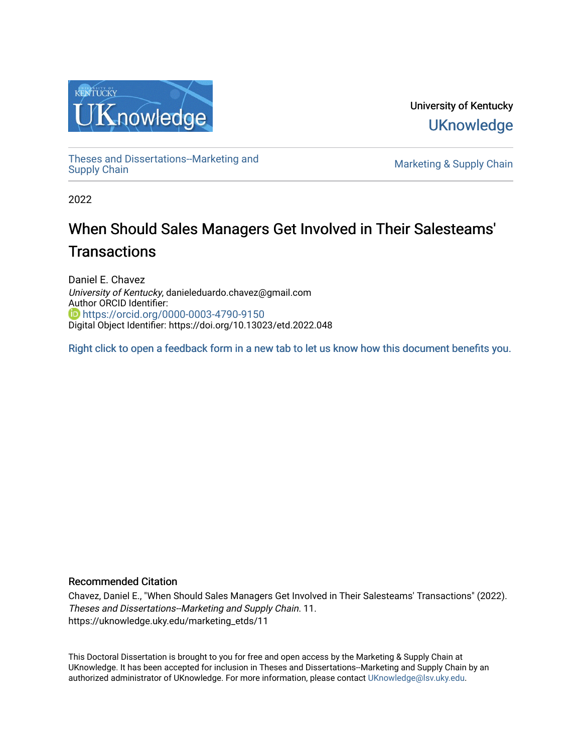

University of Kentucky **UKnowledge** 

[Theses and Dissertations--Marketing and](https://uknowledge.uky.edu/marketing_etds)

Marketing & [Supply Chain](https://uknowledge.uky.edu/marketing_etds)

2022

# When Should Sales Managers Get Involved in Their Salesteams' **Transactions**

Daniel E. Chavez University of Kentucky, danieleduardo.chavez@gmail.com Author ORCID Identifier: **b** https://orcid.org/0000-0003-4790-9150 Digital Object Identifier: https://doi.org/10.13023/etd.2022.048

[Right click to open a feedback form in a new tab to let us know how this document benefits you.](https://uky.az1.qualtrics.com/jfe/form/SV_9mq8fx2GnONRfz7)

# Recommended Citation

Chavez, Daniel E., "When Should Sales Managers Get Involved in Their Salesteams' Transactions" (2022). Theses and Dissertations--Marketing and Supply Chain. 11. https://uknowledge.uky.edu/marketing\_etds/11

This Doctoral Dissertation is brought to you for free and open access by the Marketing & Supply Chain at UKnowledge. It has been accepted for inclusion in Theses and Dissertations--Marketing and Supply Chain by an authorized administrator of UKnowledge. For more information, please contact [UKnowledge@lsv.uky.edu](mailto:UKnowledge@lsv.uky.edu).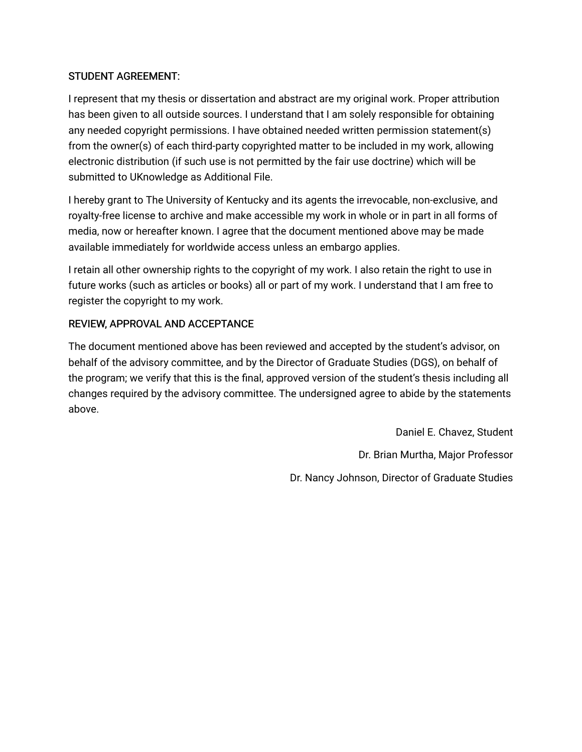# STUDENT AGREEMENT:

I represent that my thesis or dissertation and abstract are my original work. Proper attribution has been given to all outside sources. I understand that I am solely responsible for obtaining any needed copyright permissions. I have obtained needed written permission statement(s) from the owner(s) of each third-party copyrighted matter to be included in my work, allowing electronic distribution (if such use is not permitted by the fair use doctrine) which will be submitted to UKnowledge as Additional File.

I hereby grant to The University of Kentucky and its agents the irrevocable, non-exclusive, and royalty-free license to archive and make accessible my work in whole or in part in all forms of media, now or hereafter known. I agree that the document mentioned above may be made available immediately for worldwide access unless an embargo applies.

I retain all other ownership rights to the copyright of my work. I also retain the right to use in future works (such as articles or books) all or part of my work. I understand that I am free to register the copyright to my work.

# REVIEW, APPROVAL AND ACCEPTANCE

The document mentioned above has been reviewed and accepted by the student's advisor, on behalf of the advisory committee, and by the Director of Graduate Studies (DGS), on behalf of the program; we verify that this is the final, approved version of the student's thesis including all changes required by the advisory committee. The undersigned agree to abide by the statements above.

> Daniel E. Chavez, Student Dr. Brian Murtha, Major Professor Dr. Nancy Johnson, Director of Graduate Studies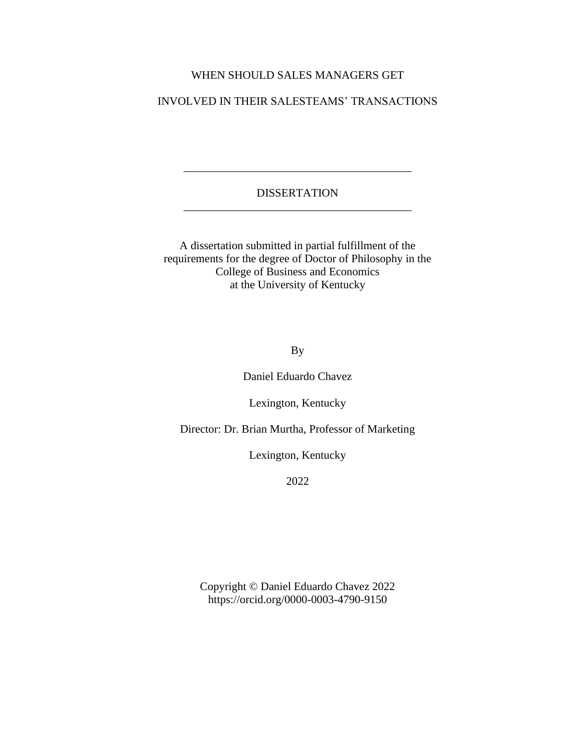# WHEN SHOULD SALES MANAGERS GET

# INVOLVED IN THEIR SALESTEAMS' TRANSACTIONS

# DISSERTATION \_\_\_\_\_\_\_\_\_\_\_\_\_\_\_\_\_\_\_\_\_\_\_\_\_\_\_\_\_\_\_\_\_\_\_\_\_\_\_\_

\_\_\_\_\_\_\_\_\_\_\_\_\_\_\_\_\_\_\_\_\_\_\_\_\_\_\_\_\_\_\_\_\_\_\_\_\_\_\_\_

A dissertation submitted in partial fulfillment of the requirements for the degree of Doctor of Philosophy in the College of Business and Economics at the University of Kentucky

By

Daniel Eduardo Chavez

Lexington, Kentucky

Director: Dr. Brian Murtha, Professor of Marketing

Lexington, Kentucky

2022

Copyright © Daniel Eduardo Chavez 2022 https://orcid.org/0000-0003-4790-9150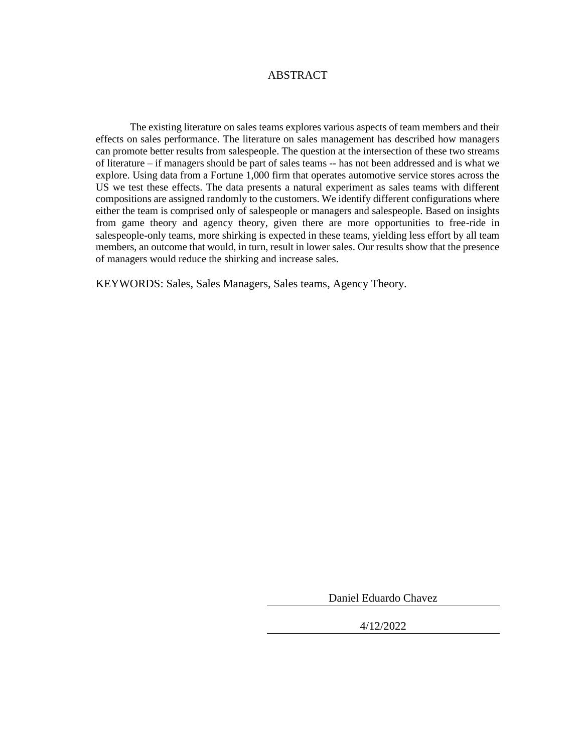### ABSTRACT

The existing literature on sales teams explores various aspects of team members and their effects on sales performance. The literature on sales management has described how managers can promote better results from salespeople. The question at the intersection of these two streams of literature – if managers should be part of sales teams -- has not been addressed and is what we explore. Using data from a Fortune 1,000 firm that operates automotive service stores across the US we test these effects. The data presents a natural experiment as sales teams with different compositions are assigned randomly to the customers. We identify different configurations where either the team is comprised only of salespeople or managers and salespeople. Based on insights from game theory and agency theory, given there are more opportunities to free-ride in salespeople-only teams, more shirking is expected in these teams, yielding less effort by all team members, an outcome that would, in turn, result in lower sales. Our results show that the presence of managers would reduce the shirking and increase sales.

KEYWORDS: Sales, Sales Managers, Sales teams, Agency Theory*.*

Daniel Eduardo Chavez

4/12/2022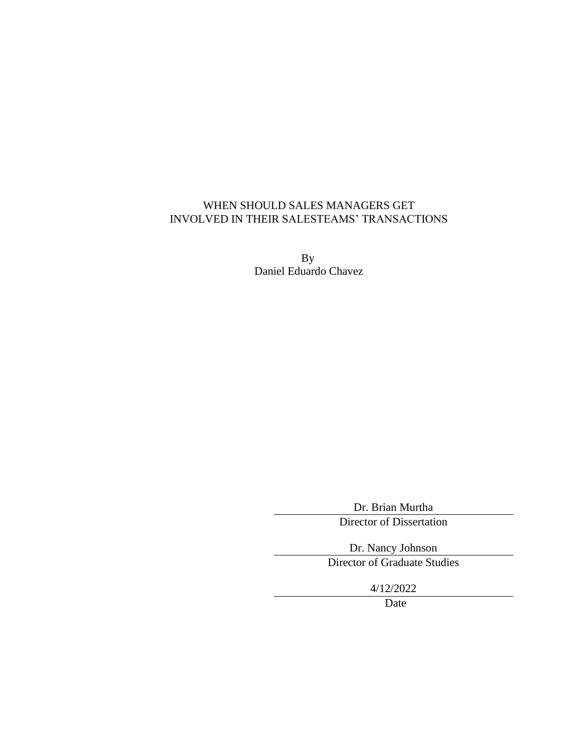# WHEN SHOULD SALES MANAGERS GET INVOLVED IN THEIR SALESTEAMS' TRANSACTIONS

By Daniel Eduardo Chavez

Dr. Brian Murtha

Director of Dissertation

Dr. Nancy Johnson Director of Graduate Studies

4/12/2022

Date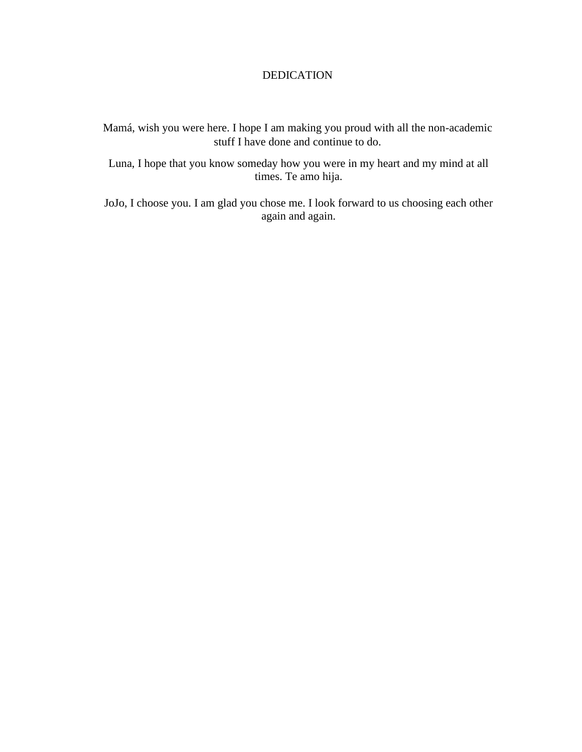# DEDICATION

Mamá, wish you were here. I hope I am making you proud with all the non-academic stuff I have done and continue to do.

Luna, I hope that you know someday how you were in my heart and my mind at all times. Te amo hija.

JoJo, I choose you. I am glad you chose me. I look forward to us choosing each other again and again.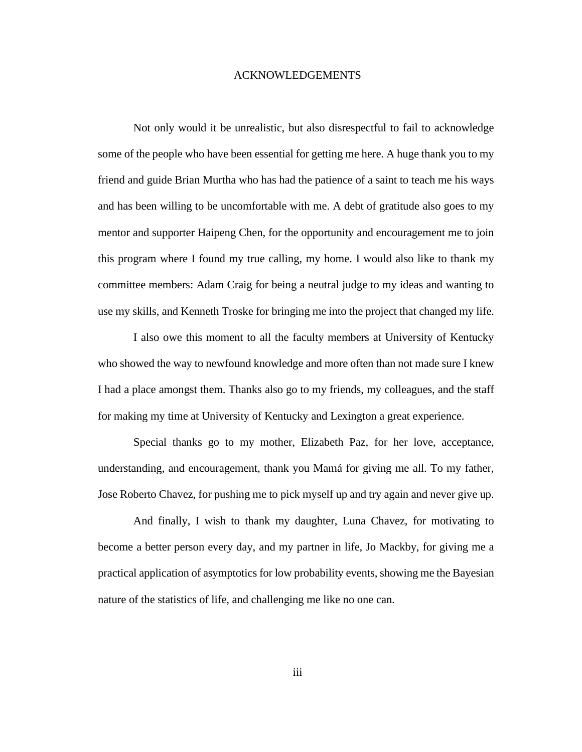#### ACKNOWLEDGEMENTS

<span id="page-6-0"></span>Not only would it be unrealistic, but also disrespectful to fail to acknowledge some of the people who have been essential for getting me here. A huge thank you to my friend and guide Brian Murtha who has had the patience of a saint to teach me his ways and has been willing to be uncomfortable with me. A debt of gratitude also goes to my mentor and supporter Haipeng Chen, for the opportunity and encouragement me to join this program where I found my true calling, my home. I would also like to thank my committee members: Adam Craig for being a neutral judge to my ideas and wanting to use my skills, and Kenneth Troske for bringing me into the project that changed my life.

I also owe this moment to all the faculty members at University of Kentucky who showed the way to newfound knowledge and more often than not made sure I knew I had a place amongst them. Thanks also go to my friends, my colleagues, and the staff for making my time at University of Kentucky and Lexington a great experience.

Special thanks go to my mother, Elizabeth Paz, for her love, acceptance, understanding, and encouragement, thank you Mamá for giving me all. To my father, Jose Roberto Chavez, for pushing me to pick myself up and try again and never give up.

And finally, I wish to thank my daughter, Luna Chavez, for motivating to become a better person every day, and my partner in life, Jo Mackby, for giving me a practical application of asymptotics for low probability events, showing me the Bayesian nature of the statistics of life, and challenging me like no one can.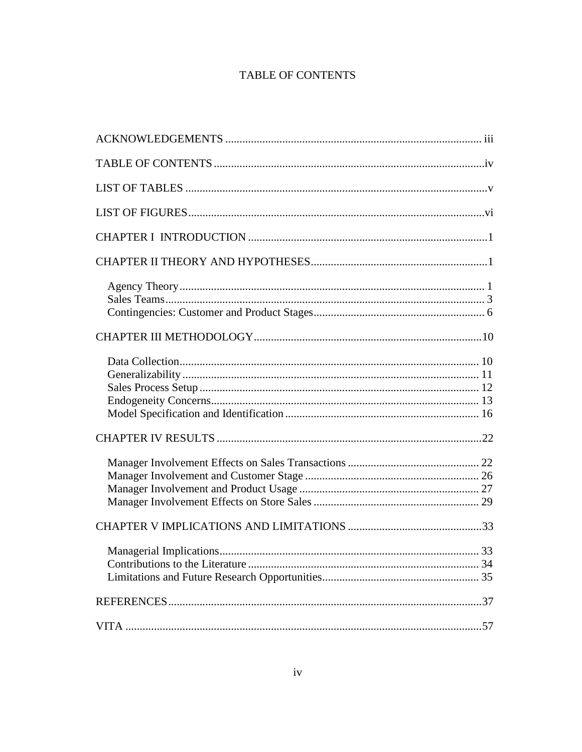# TABLE OF CONTENTS

<span id="page-7-0"></span>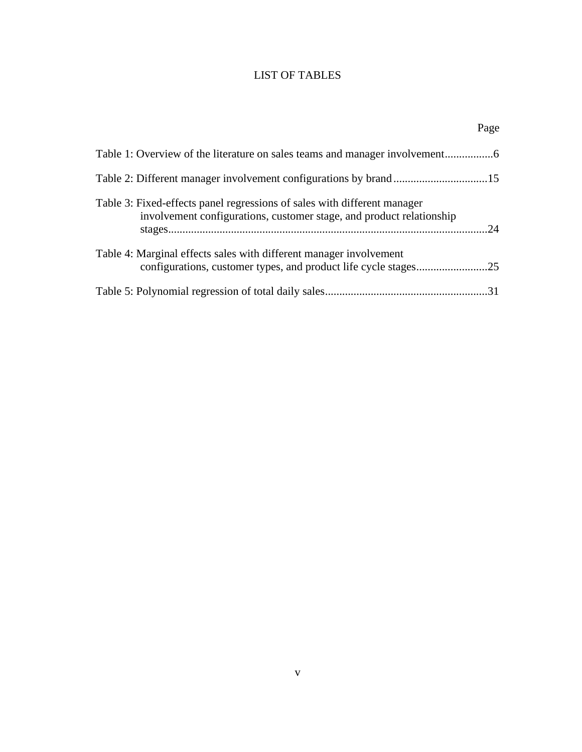# LIST OF TABLES

<span id="page-8-0"></span>

|                                                                                                                                                  | Page |
|--------------------------------------------------------------------------------------------------------------------------------------------------|------|
|                                                                                                                                                  |      |
|                                                                                                                                                  |      |
| Table 3: Fixed-effects panel regressions of sales with different manager<br>involvement configurations, customer stage, and product relationship | 24   |
| Table 4: Marginal effects sales with different manager involvement                                                                               |      |
|                                                                                                                                                  |      |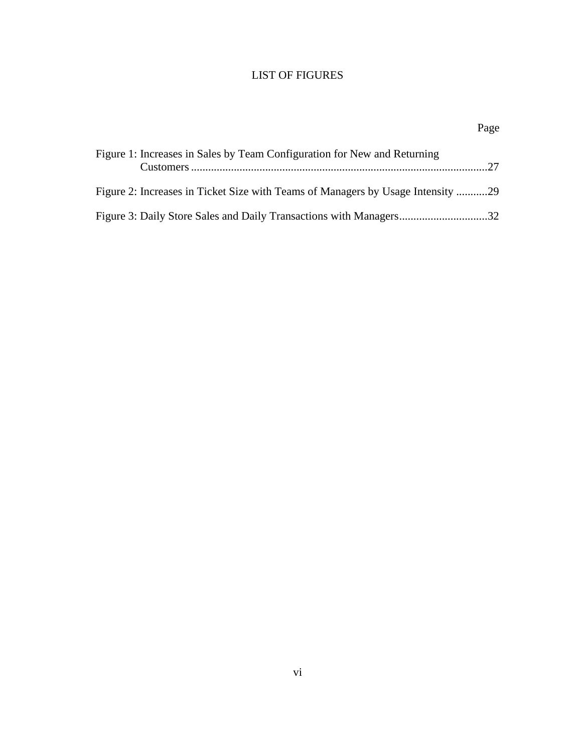# <span id="page-9-0"></span>LIST OF FIGURES

| Figure 1: Increases in Sales by Team Configuration for New and Returning        |  |
|---------------------------------------------------------------------------------|--|
| Figure 2: Increases in Ticket Size with Teams of Managers by Usage Intensity 29 |  |
| Figure 3: Daily Store Sales and Daily Transactions with Managers32              |  |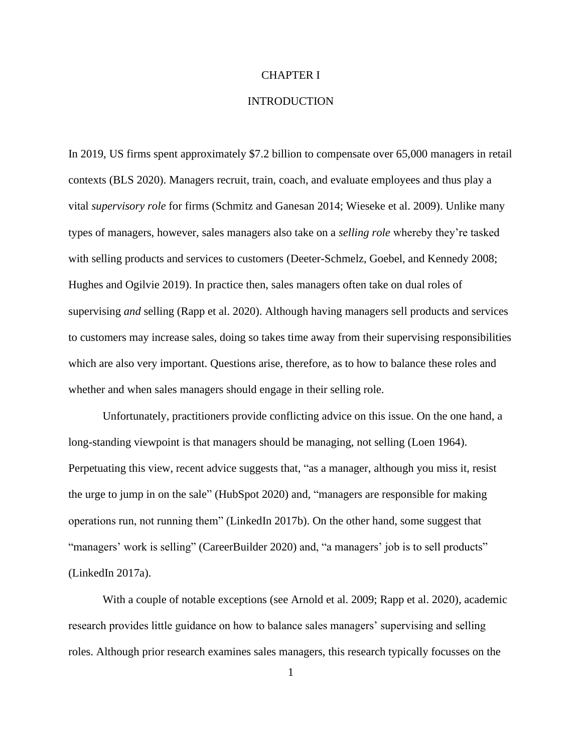#### CHAPTER I

## **INTRODUCTION**

<span id="page-10-0"></span>In 2019, US firms spent approximately \$7.2 billion to compensate over 65,000 managers in retail contexts (BLS 2020). Managers recruit, train, coach, and evaluate employees and thus play a vital *supervisory role* for firms (Schmitz and Ganesan 2014; Wieseke et al. 2009). Unlike many types of managers, however, sales managers also take on a *selling role* whereby they're tasked with selling products and services to customers (Deeter-Schmelz, Goebel, and Kennedy 2008; Hughes and Ogilvie 2019). In practice then, sales managers often take on dual roles of supervising *and* selling (Rapp et al. 2020). Although having managers sell products and services to customers may increase sales, doing so takes time away from their supervising responsibilities which are also very important. Questions arise, therefore, as to how to balance these roles and whether and when sales managers should engage in their selling role.

Unfortunately, practitioners provide conflicting advice on this issue. On the one hand, a long-standing viewpoint is that managers should be managing, not selling (Loen 1964). Perpetuating this view, recent advice suggests that, "as a manager, although you miss it, resist the urge to jump in on the sale" (HubSpot 2020) and, "managers are responsible for making operations run, not running them" (LinkedIn 2017b). On the other hand, some suggest that "managers' work is selling" (CareerBuilder 2020) and, "a managers' job is to sell products" (LinkedIn 2017a).

With a couple of notable exceptions (see Arnold et al. 2009; Rapp et al. 2020), academic research provides little guidance on how to balance sales managers' supervising and selling roles. Although prior research examines sales managers, this research typically focusses on the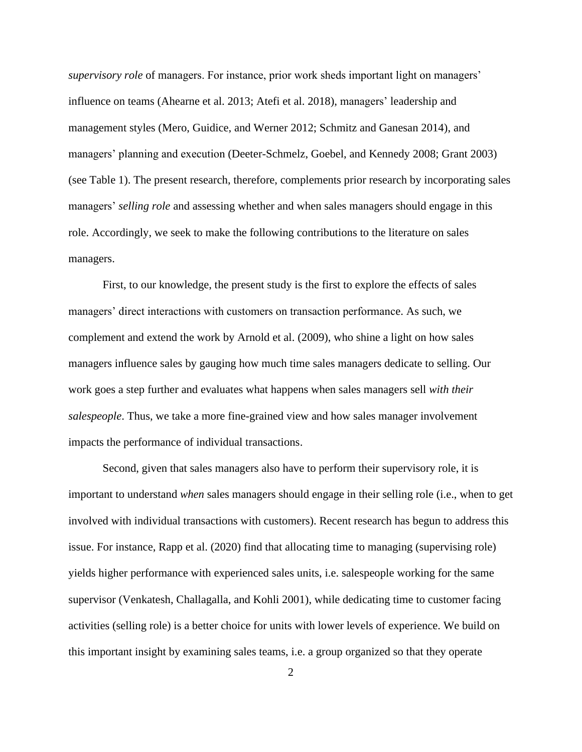*supervisory role* of managers. For instance, prior work sheds important light on managers' influence on teams (Ahearne et al. 2013; Atefi et al. 2018), managers' leadership and management styles (Mero, Guidice, and Werner 2012; Schmitz and Ganesan 2014), and managers' planning and execution (Deeter-Schmelz, Goebel, and Kennedy 2008; Grant 2003) (see Table 1). The present research, therefore, complements prior research by incorporating sales managers' *selling role* and assessing whether and when sales managers should engage in this role. Accordingly, we seek to make the following contributions to the literature on sales managers.

First, to our knowledge, the present study is the first to explore the effects of sales managers' direct interactions with customers on transaction performance. As such, we complement and extend the work by Arnold et al. (2009), who shine a light on how sales managers influence sales by gauging how much time sales managers dedicate to selling. Our work goes a step further and evaluates what happens when sales managers sell *with their salespeople*. Thus, we take a more fine-grained view and how sales manager involvement impacts the performance of individual transactions.

Second, given that sales managers also have to perform their supervisory role, it is important to understand *when* sales managers should engage in their selling role (i.e., when to get involved with individual transactions with customers). Recent research has begun to address this issue. For instance, Rapp et al. (2020) find that allocating time to managing (supervising role) yields higher performance with experienced sales units, i.e. salespeople working for the same supervisor (Venkatesh, Challagalla, and Kohli 2001), while dedicating time to customer facing activities (selling role) is a better choice for units with lower levels of experience. We build on this important insight by examining sales teams, i.e. a group organized so that they operate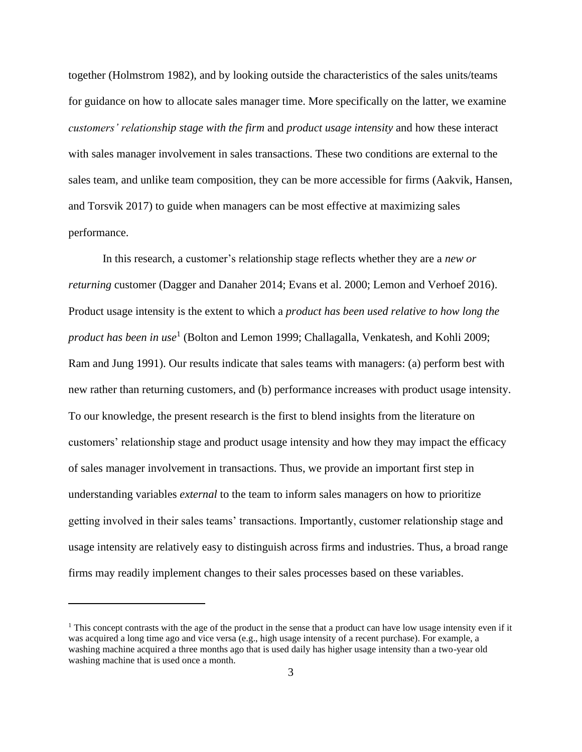together (Holmstrom 1982), and by looking outside the characteristics of the sales units/teams for guidance on how to allocate sales manager time. More specifically on the latter, we examine *customers' relationship stage with the firm* and *product usage intensity* and how these interact with sales manager involvement in sales transactions. These two conditions are external to the sales team, and unlike team composition, they can be more accessible for firms (Aakvik, Hansen, and Torsvik 2017) to guide when managers can be most effective at maximizing sales performance.

In this research, a customer's relationship stage reflects whether they are a *new or returning* customer (Dagger and Danaher 2014; Evans et al. 2000; Lemon and Verhoef 2016). Product usage intensity is the extent to which a *product has been used relative to how long the*  product has been in use<sup>1</sup> (Bolton and Lemon 1999; Challagalla, Venkatesh, and Kohli 2009; Ram and Jung 1991). Our results indicate that sales teams with managers: (a) perform best with new rather than returning customers, and (b) performance increases with product usage intensity. To our knowledge, the present research is the first to blend insights from the literature on customers' relationship stage and product usage intensity and how they may impact the efficacy of sales manager involvement in transactions. Thus, we provide an important first step in understanding variables *external* to the team to inform sales managers on how to prioritize getting involved in their sales teams' transactions. Importantly, customer relationship stage and usage intensity are relatively easy to distinguish across firms and industries. Thus, a broad range firms may readily implement changes to their sales processes based on these variables.

 $<sup>1</sup>$  This concept contrasts with the age of the product in the sense that a product can have low usage intensity even if it</sup> was acquired a long time ago and vice versa (e.g., high usage intensity of a recent purchase). For example, a washing machine acquired a three months ago that is used daily has higher usage intensity than a two-year old washing machine that is used once a month.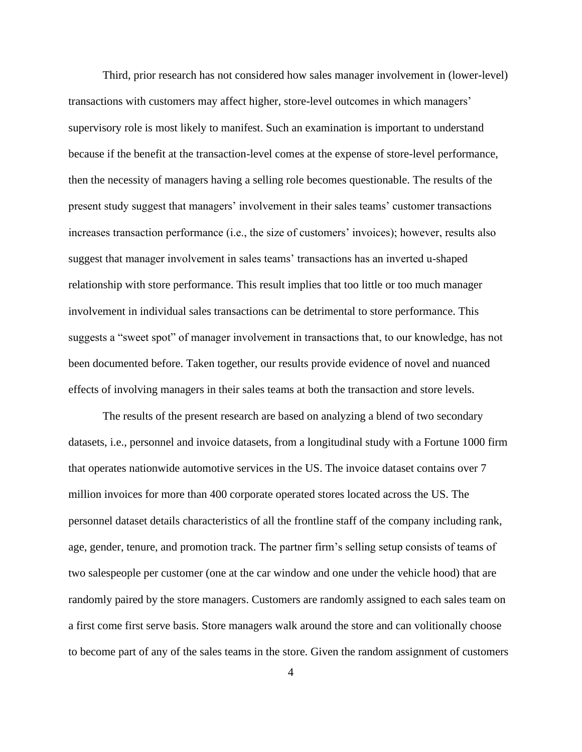Third, prior research has not considered how sales manager involvement in (lower-level) transactions with customers may affect higher, store-level outcomes in which managers' supervisory role is most likely to manifest. Such an examination is important to understand because if the benefit at the transaction-level comes at the expense of store-level performance, then the necessity of managers having a selling role becomes questionable. The results of the present study suggest that managers' involvement in their sales teams' customer transactions increases transaction performance (i.e., the size of customers' invoices); however, results also suggest that manager involvement in sales teams' transactions has an inverted u-shaped relationship with store performance. This result implies that too little or too much manager involvement in individual sales transactions can be detrimental to store performance. This suggests a "sweet spot" of manager involvement in transactions that, to our knowledge, has not been documented before. Taken together, our results provide evidence of novel and nuanced effects of involving managers in their sales teams at both the transaction and store levels.

The results of the present research are based on analyzing a blend of two secondary datasets, i.e., personnel and invoice datasets, from a longitudinal study with a Fortune 1000 firm that operates nationwide automotive services in the US. The invoice dataset contains over 7 million invoices for more than 400 corporate operated stores located across the US. The personnel dataset details characteristics of all the frontline staff of the company including rank, age, gender, tenure, and promotion track. The partner firm's selling setup consists of teams of two salespeople per customer (one at the car window and one under the vehicle hood) that are randomly paired by the store managers. Customers are randomly assigned to each sales team on a first come first serve basis. Store managers walk around the store and can volitionally choose to become part of any of the sales teams in the store. Given the random assignment of customers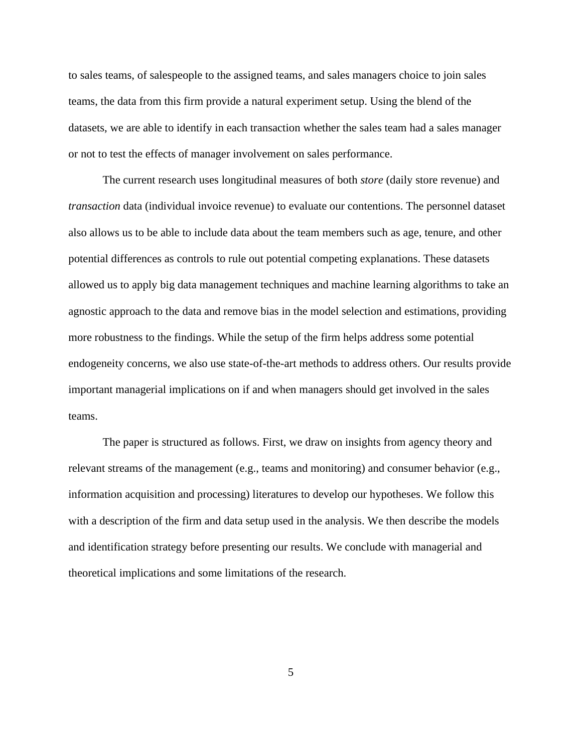to sales teams, of salespeople to the assigned teams, and sales managers choice to join sales teams, the data from this firm provide a natural experiment setup. Using the blend of the datasets, we are able to identify in each transaction whether the sales team had a sales manager or not to test the effects of manager involvement on sales performance.

The current research uses longitudinal measures of both *store* (daily store revenue) and *transaction* data (individual invoice revenue) to evaluate our contentions. The personnel dataset also allows us to be able to include data about the team members such as age, tenure, and other potential differences as controls to rule out potential competing explanations. These datasets allowed us to apply big data management techniques and machine learning algorithms to take an agnostic approach to the data and remove bias in the model selection and estimations, providing more robustness to the findings. While the setup of the firm helps address some potential endogeneity concerns, we also use state-of-the-art methods to address others. Our results provide important managerial implications on if and when managers should get involved in the sales teams.

The paper is structured as follows. First, we draw on insights from agency theory and relevant streams of the management (e.g., teams and monitoring) and consumer behavior (e.g., information acquisition and processing) literatures to develop our hypotheses. We follow this with a description of the firm and data setup used in the analysis. We then describe the models and identification strategy before presenting our results. We conclude with managerial and theoretical implications and some limitations of the research.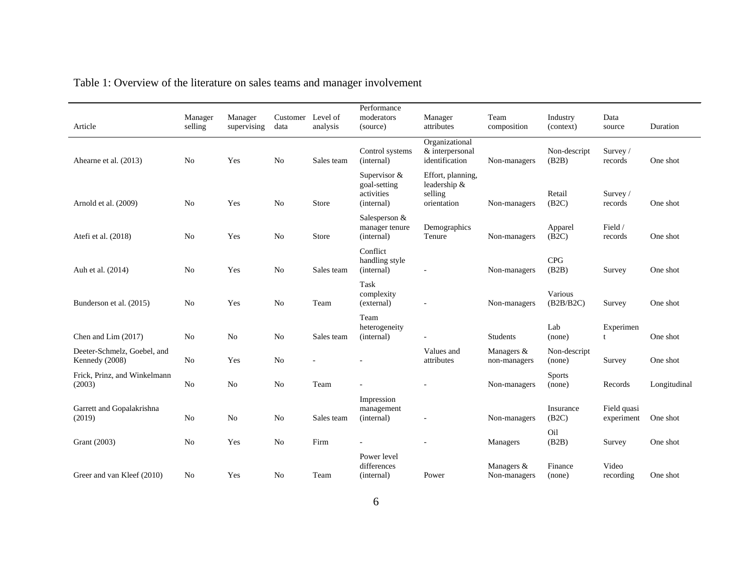<span id="page-15-0"></span>

| Article                                       | Manager<br>selling | Manager<br>supervising | data | Customer Level of<br>analysis | Performance<br>moderators<br>(source)                      | Manager<br>attributes                                       | Team<br>composition        | Industry<br>(context)   | Data<br>source            | Duration     |
|-----------------------------------------------|--------------------|------------------------|------|-------------------------------|------------------------------------------------------------|-------------------------------------------------------------|----------------------------|-------------------------|---------------------------|--------------|
| Ahearne et al. (2013)                         | No                 | Yes                    | No   | Sales team                    | Control systems<br>(internal)                              | Organizational<br>& interpersonal<br>identification         | Non-managers               | Non-descript<br>(B2B)   | Survey /<br>records       | One shot     |
| Arnold et al. (2009)                          | No                 | Yes                    | No   | Store                         | Supervisor $&$<br>goal-setting<br>activities<br>(internal) | Effort, planning,<br>leadership &<br>selling<br>orientation | Non-managers               | Retail<br>(B2C)         | Survey /<br>records       | One shot     |
| Atefi et al. (2018)                           | No                 | Yes                    | No   | Store                         | Salesperson &<br>manager tenure<br>(internal)              | Demographics<br>Tenure                                      | Non-managers               | Apparel<br>(B2C)        | Field /<br>records        | One shot     |
| Auh et al. (2014)                             | No                 | Yes                    | No   | Sales team                    | Conflict<br>handling style<br>(internal)                   |                                                             | Non-managers               | <b>CPG</b><br>(B2B)     | Survey                    | One shot     |
| Bunderson et al. (2015)                       | No                 | Yes                    | No   | Team                          | Task<br>complexity<br>(external)                           | $\overline{\phantom{a}}$                                    | Non-managers               | Various<br>(B2B/B2C)    | Survey                    | One shot     |
| Chen and Lim (2017)                           | No                 | No                     | No   | Sales team                    | Team<br>heterogeneity<br>(internal)                        | ÷.                                                          | Students                   | Lab<br>(none)           | Experimen<br>t            | One shot     |
| Deeter-Schmelz, Goebel, and<br>Kennedy (2008) | No                 | Yes                    | No   |                               |                                                            | Values and<br>attributes                                    | Managers &<br>non-managers | Non-descript<br>(none)  | Survey                    | One shot     |
| Frick, Prinz, and Winkelmann<br>(2003)        | No                 | N <sub>o</sub>         | No   | Team                          |                                                            | $\overline{\phantom{0}}$                                    | Non-managers               | <b>Sports</b><br>(none) | Records                   | Longitudinal |
| Garrett and Gopalakrishna<br>(2019)           | No                 | No                     | No   | Sales team                    | Impression<br>management<br>(internal)                     | $\overline{\phantom{a}}$                                    | Non-managers               | Insurance<br>(B2C)      | Field quasi<br>experiment | One shot     |
| Grant (2003)                                  | No                 | Yes                    | No   | Firm                          |                                                            |                                                             | Managers                   | Oil<br>(B2B)            | Survey                    | One shot     |
| Greer and van Kleef (2010)                    | No                 | Yes                    | No.  | Team                          | Power level<br>differences<br>(internal)                   | Power                                                       | Managers &<br>Non-managers | Finance<br>(none)       | Video<br>recording        | One shot     |

Table 1: Overview of the literature on sales teams and manager involvement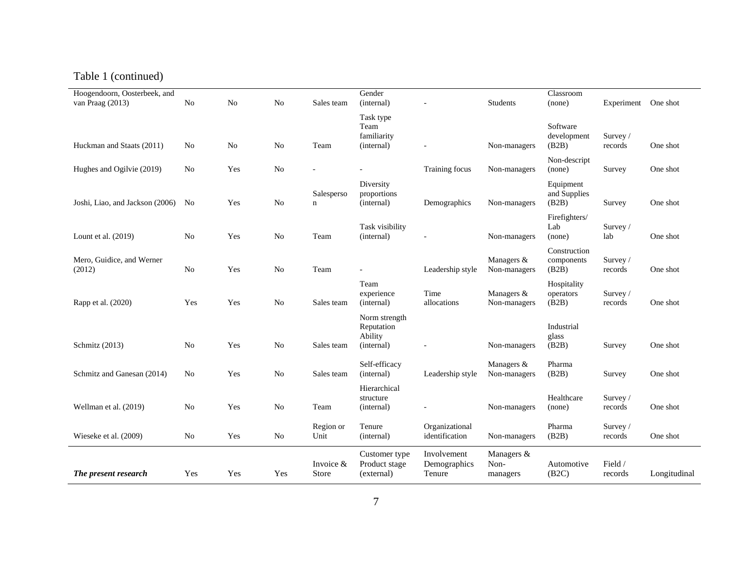# Table 1 (continued)

| Hoogendoorn, Oosterbeek, and<br>van Praag (2013) | N <sub>0</sub> | N <sub>0</sub> | N <sub>0</sub> | Sales team                | Gender<br>(internal)                                 |                                       | <b>Students</b>                | Classroom<br>(none)                 | Experiment            | One shot     |
|--------------------------------------------------|----------------|----------------|----------------|---------------------------|------------------------------------------------------|---------------------------------------|--------------------------------|-------------------------------------|-----------------------|--------------|
|                                                  |                |                |                |                           | Task type                                            |                                       |                                |                                     |                       |              |
| Huckman and Staats (2011)                        | N <sub>o</sub> | No             | N <sub>o</sub> | Team                      | Team<br>familiarity<br>(internal)                    |                                       | Non-managers                   | Software<br>development<br>(B2B)    | Survey /<br>records   | One shot     |
| Hughes and Ogilvie (2019)                        | No             | Yes            | No             |                           |                                                      | Training focus                        | Non-managers                   | Non-descript<br>(none)              | Survey                | One shot     |
| Joshi, Liao, and Jackson (2006)                  | N <sub>o</sub> | Yes            | No             | Salesperso<br>$\mathbf n$ | Diversity<br>proportions<br>(internal)               | Demographics                          | Non-managers                   | Equipment<br>and Supplies<br>(B2B)  | Survey                | One shot     |
| Lount et al. $(2019)$                            | No             | Yes            | N <sub>o</sub> | Team                      | Task visibility<br>(internal)                        |                                       | Non-managers                   | Firefighters/<br>Lab<br>(none)      | Survey $/$<br>lab     | One shot     |
| Mero, Guidice, and Werner<br>(2012)              | No             | Yes            | N <sub>o</sub> | Team                      |                                                      | Leadership style                      | Managers &<br>Non-managers     | Construction<br>components<br>(B2B) | Survey/<br>records    | One shot     |
| Rapp et al. (2020)                               | Yes            | Yes            | N <sub>o</sub> | Sales team                | Team<br>experience<br>(internal)                     | Time<br>allocations                   | Managers &<br>Non-managers     | Hospitality<br>operators<br>(B2B)   | Survey $/$<br>records | One shot     |
| Schmitz (2013)                                   | No             | Yes            | N <sub>o</sub> | Sales team                | Norm strength<br>Reputation<br>Ability<br>(internal) |                                       | Non-managers                   | Industrial<br>glass<br>(B2B)        | Survey                | One shot     |
| Schmitz and Ganesan (2014)                       | N <sub>0</sub> | Yes            | N <sub>o</sub> | Sales team                | Self-efficacy<br>(internal)                          | Leadership style                      | Managers &<br>Non-managers     | Pharma<br>(B2B)                     | Survey                | One shot     |
| Wellman et al. (2019)                            | No             | Yes            | N <sub>o</sub> | Team                      | Hierarchical<br>structure<br>(internal)              |                                       | Non-managers                   | Healthcare<br>(none)                | Survey $/$<br>records | One shot     |
| Wieseke et al. (2009)                            | No             | Yes            | No             | Region or<br>Unit         | Tenure<br>(internal)                                 | Organizational<br>identification      | Non-managers                   | Pharma<br>(B2B)                     | Survey $/$<br>records | One shot     |
| The present research                             | Yes            | Yes            | Yes            | Invoice &<br>Store        | Customer type<br>Product stage<br>(external)         | Involvement<br>Demographics<br>Tenure | Managers &<br>Non-<br>managers | Automotive<br>(B2C)                 | Field /<br>records    | Longitudinal |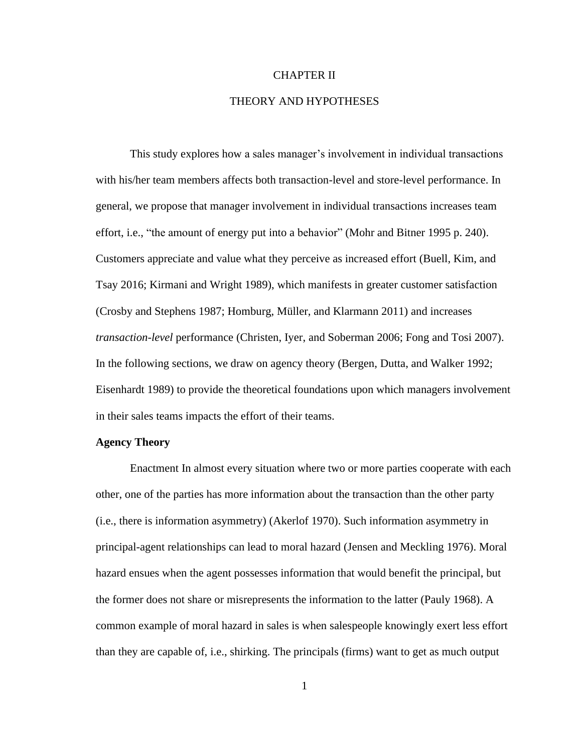#### CHAPTER II

## THEORY AND HYPOTHESES

<span id="page-17-0"></span>This study explores how a sales manager's involvement in individual transactions with his/her team members affects both transaction-level and store-level performance. In general, we propose that manager involvement in individual transactions increases team effort, i.e., "the amount of energy put into a behavior" (Mohr and Bitner 1995 p. 240). Customers appreciate and value what they perceive as increased effort (Buell, Kim, and Tsay 2016; Kirmani and Wright 1989), which manifests in greater customer satisfaction (Crosby and Stephens 1987; Homburg, Müller, and Klarmann 2011) and increases *transaction-level* performance (Christen, Iyer, and Soberman 2006; Fong and Tosi 2007). In the following sections, we draw on agency theory (Bergen, Dutta, and Walker 1992; Eisenhardt 1989) to provide the theoretical foundations upon which managers involvement in their sales teams impacts the effort of their teams.

#### <span id="page-17-1"></span>**Agency Theory**

Enactment In almost every situation where two or more parties cooperate with each other, one of the parties has more information about the transaction than the other party (i.e., there is information asymmetry) (Akerlof 1970). Such information asymmetry in principal-agent relationships can lead to moral hazard (Jensen and Meckling 1976). Moral hazard ensues when the agent possesses information that would benefit the principal, but the former does not share or misrepresents the information to the latter (Pauly 1968). A common example of moral hazard in sales is when salespeople knowingly exert less effort than they are capable of, i.e., shirking. The principals (firms) want to get as much output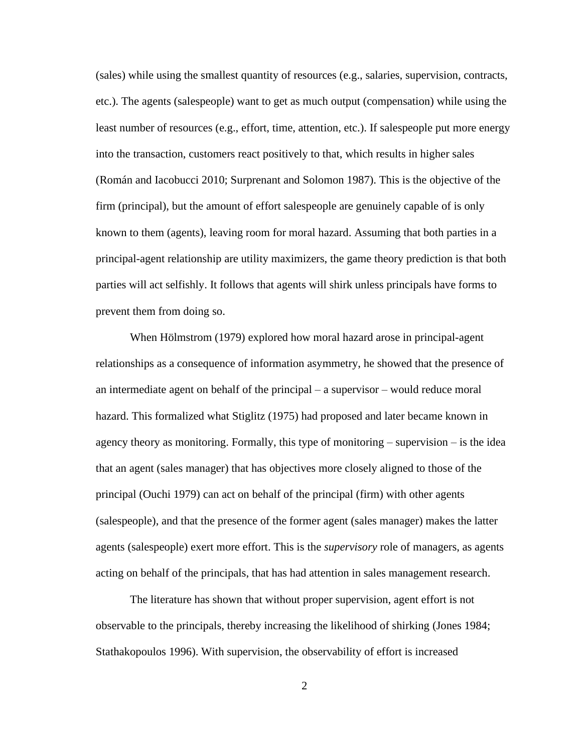(sales) while using the smallest quantity of resources (e.g., salaries, supervision, contracts, etc.). The agents (salespeople) want to get as much output (compensation) while using the least number of resources (e.g., effort, time, attention, etc.). If salespeople put more energy into the transaction, customers react positively to that, which results in higher sales (Román and Iacobucci 2010; Surprenant and Solomon 1987). This is the objective of the firm (principal), but the amount of effort salespeople are genuinely capable of is only known to them (agents), leaving room for moral hazard. Assuming that both parties in a principal-agent relationship are utility maximizers, the game theory prediction is that both parties will act selfishly. It follows that agents will shirk unless principals have forms to prevent them from doing so.

When Hölmstrom (1979) explored how moral hazard arose in principal-agent relationships as a consequence of information asymmetry, he showed that the presence of an intermediate agent on behalf of the principal – a supervisor – would reduce moral hazard. This formalized what Stiglitz (1975) had proposed and later became known in agency theory as monitoring. Formally, this type of monitoring – supervision – is the idea that an agent (sales manager) that has objectives more closely aligned to those of the principal (Ouchi 1979) can act on behalf of the principal (firm) with other agents (salespeople), and that the presence of the former agent (sales manager) makes the latter agents (salespeople) exert more effort. This is the *supervisory* role of managers, as agents acting on behalf of the principals, that has had attention in sales management research.

The literature has shown that without proper supervision, agent effort is not observable to the principals, thereby increasing the likelihood of shirking (Jones 1984; Stathakopoulos 1996). With supervision, the observability of effort is increased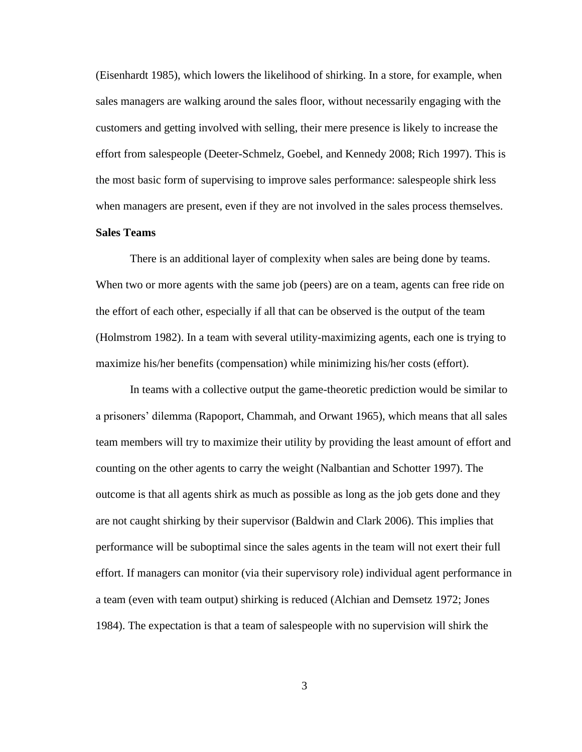(Eisenhardt 1985), which lowers the likelihood of shirking. In a store, for example, when sales managers are walking around the sales floor, without necessarily engaging with the customers and getting involved with selling, their mere presence is likely to increase the effort from salespeople (Deeter-Schmelz, Goebel, and Kennedy 2008; Rich 1997). This is the most basic form of supervising to improve sales performance: salespeople shirk less when managers are present, even if they are not involved in the sales process themselves.

#### <span id="page-19-0"></span>**Sales Teams**

There is an additional layer of complexity when sales are being done by teams. When two or more agents with the same job (peers) are on a team, agents can free ride on the effort of each other, especially if all that can be observed is the output of the team (Holmstrom 1982). In a team with several utility-maximizing agents, each one is trying to maximize his/her benefits (compensation) while minimizing his/her costs (effort).

In teams with a collective output the game-theoretic prediction would be similar to a prisoners' dilemma (Rapoport, Chammah, and Orwant 1965), which means that all sales team members will try to maximize their utility by providing the least amount of effort and counting on the other agents to carry the weight (Nalbantian and Schotter 1997). The outcome is that all agents shirk as much as possible as long as the job gets done and they are not caught shirking by their supervisor (Baldwin and Clark 2006). This implies that performance will be suboptimal since the sales agents in the team will not exert their full effort. If managers can monitor (via their supervisory role) individual agent performance in a team (even with team output) shirking is reduced (Alchian and Demsetz 1972; Jones 1984). The expectation is that a team of salespeople with no supervision will shirk the

3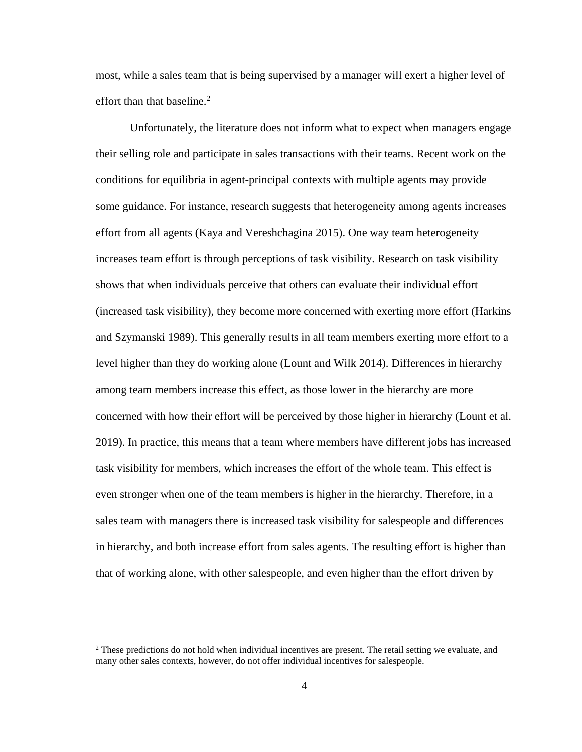most, while a sales team that is being supervised by a manager will exert a higher level of effort than that baseline.<sup>2</sup>

Unfortunately, the literature does not inform what to expect when managers engage their selling role and participate in sales transactions with their teams. Recent work on the conditions for equilibria in agent-principal contexts with multiple agents may provide some guidance. For instance, research suggests that heterogeneity among agents increases effort from all agents (Kaya and Vereshchagina 2015). One way team heterogeneity increases team effort is through perceptions of task visibility. Research on task visibility shows that when individuals perceive that others can evaluate their individual effort (increased task visibility), they become more concerned with exerting more effort (Harkins and Szymanski 1989). This generally results in all team members exerting more effort to a level higher than they do working alone (Lount and Wilk 2014). Differences in hierarchy among team members increase this effect, as those lower in the hierarchy are more concerned with how their effort will be perceived by those higher in hierarchy (Lount et al. 2019). In practice, this means that a team where members have different jobs has increased task visibility for members, which increases the effort of the whole team. This effect is even stronger when one of the team members is higher in the hierarchy. Therefore, in a sales team with managers there is increased task visibility for salespeople and differences in hierarchy, and both increase effort from sales agents. The resulting effort is higher than that of working alone, with other salespeople, and even higher than the effort driven by

<sup>&</sup>lt;sup>2</sup> These predictions do not hold when individual incentives are present. The retail setting we evaluate, and many other sales contexts, however, do not offer individual incentives for salespeople.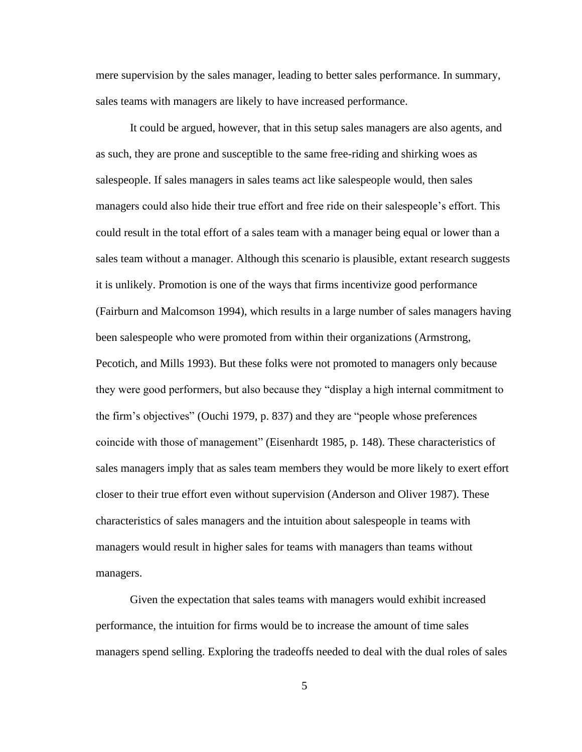mere supervision by the sales manager, leading to better sales performance. In summary, sales teams with managers are likely to have increased performance.

It could be argued, however, that in this setup sales managers are also agents, and as such, they are prone and susceptible to the same free-riding and shirking woes as salespeople. If sales managers in sales teams act like salespeople would, then sales managers could also hide their true effort and free ride on their salespeople's effort. This could result in the total effort of a sales team with a manager being equal or lower than a sales team without a manager. Although this scenario is plausible, extant research suggests it is unlikely. Promotion is one of the ways that firms incentivize good performance (Fairburn and Malcomson 1994), which results in a large number of sales managers having been salespeople who were promoted from within their organizations (Armstrong, Pecotich, and Mills 1993). But these folks were not promoted to managers only because they were good performers, but also because they "display a high internal commitment to the firm's objectives" (Ouchi 1979, p. 837) and they are "people whose preferences coincide with those of management" (Eisenhardt 1985, p. 148). These characteristics of sales managers imply that as sales team members they would be more likely to exert effort closer to their true effort even without supervision (Anderson and Oliver 1987). These characteristics of sales managers and the intuition about salespeople in teams with managers would result in higher sales for teams with managers than teams without managers.

Given the expectation that sales teams with managers would exhibit increased performance, the intuition for firms would be to increase the amount of time sales managers spend selling. Exploring the tradeoffs needed to deal with the dual roles of sales

5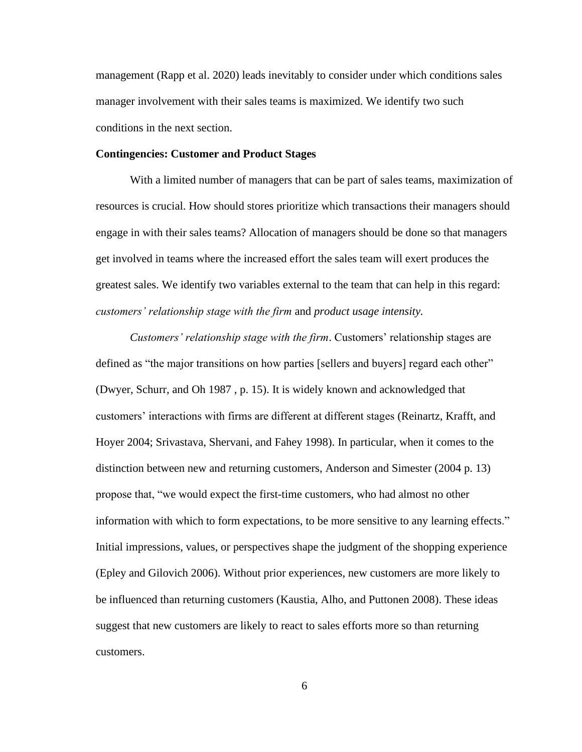management (Rapp et al. 2020) leads inevitably to consider under which conditions sales manager involvement with their sales teams is maximized. We identify two such conditions in the next section.

#### <span id="page-22-0"></span>**Contingencies: Customer and Product Stages**

With a limited number of managers that can be part of sales teams, maximization of resources is crucial. How should stores prioritize which transactions their managers should engage in with their sales teams? Allocation of managers should be done so that managers get involved in teams where the increased effort the sales team will exert produces the greatest sales. We identify two variables external to the team that can help in this regard: *customers' relationship stage with the firm* and *product usage intensity.*

*Customers' relationship stage with the firm*. Customers' relationship stages are defined as "the major transitions on how parties [sellers and buyers] regard each other" (Dwyer, Schurr, and Oh 1987 , p. 15). It is widely known and acknowledged that customers' interactions with firms are different at different stages (Reinartz, Krafft, and Hoyer 2004; Srivastava, Shervani, and Fahey 1998). In particular, when it comes to the distinction between new and returning customers, Anderson and Simester (2004 p. 13) propose that, "we would expect the first-time customers, who had almost no other information with which to form expectations, to be more sensitive to any learning effects." Initial impressions, values, or perspectives shape the judgment of the shopping experience (Epley and Gilovich 2006). Without prior experiences, new customers are more likely to be influenced than returning customers (Kaustia, Alho, and Puttonen 2008). These ideas suggest that new customers are likely to react to sales efforts more so than returning customers.

6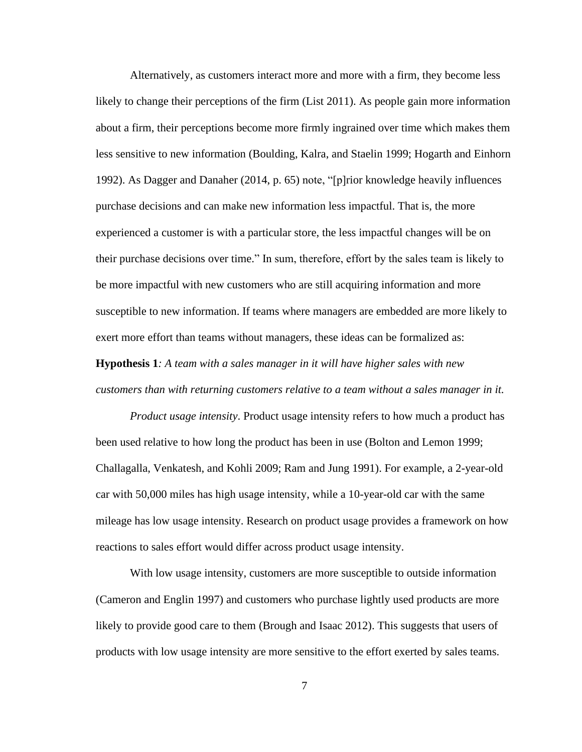Alternatively, as customers interact more and more with a firm, they become less likely to change their perceptions of the firm (List 2011). As people gain more information about a firm, their perceptions become more firmly ingrained over time which makes them less sensitive to new information (Boulding, Kalra, and Staelin 1999; Hogarth and Einhorn 1992). As Dagger and Danaher (2014, p. 65) note, "[p]rior knowledge heavily influences purchase decisions and can make new information less impactful. That is, the more experienced a customer is with a particular store, the less impactful changes will be on their purchase decisions over time." In sum, therefore, effort by the sales team is likely to be more impactful with new customers who are still acquiring information and more susceptible to new information. If teams where managers are embedded are more likely to exert more effort than teams without managers, these ideas can be formalized as:

**Hypothesis 1***: A team with a sales manager in it will have higher sales with new customers than with returning customers relative to a team without a sales manager in it.*

*Product usage intensity*. Product usage intensity refers to how much a product has been used relative to how long the product has been in use (Bolton and Lemon 1999; Challagalla, Venkatesh, and Kohli 2009; Ram and Jung 1991). For example, a 2-year-old car with 50,000 miles has high usage intensity, while a 10-year-old car with the same mileage has low usage intensity. Research on product usage provides a framework on how reactions to sales effort would differ across product usage intensity.

With low usage intensity, customers are more susceptible to outside information (Cameron and Englin 1997) and customers who purchase lightly used products are more likely to provide good care to them (Brough and Isaac 2012). This suggests that users of products with low usage intensity are more sensitive to the effort exerted by sales teams.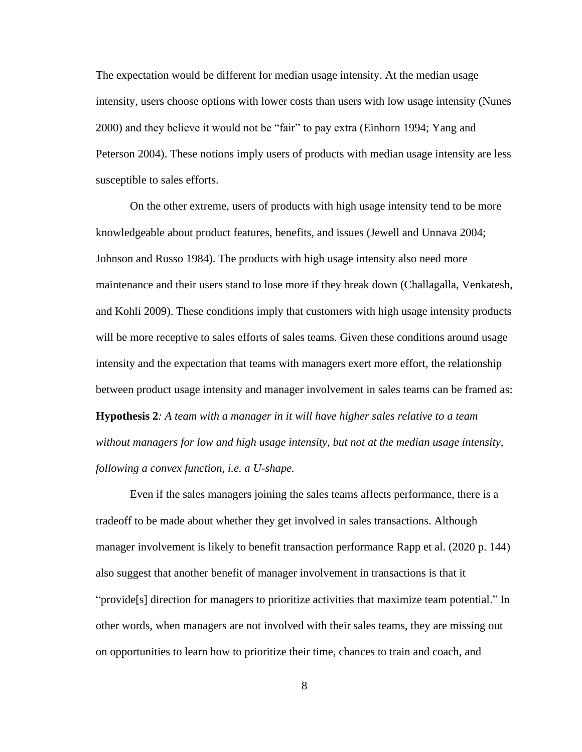The expectation would be different for median usage intensity. At the median usage intensity, users choose options with lower costs than users with low usage intensity (Nunes 2000) and they believe it would not be "fair" to pay extra (Einhorn 1994; Yang and Peterson 2004). These notions imply users of products with median usage intensity are less susceptible to sales efforts.

On the other extreme, users of products with high usage intensity tend to be more knowledgeable about product features, benefits, and issues (Jewell and Unnava 2004; Johnson and Russo 1984). The products with high usage intensity also need more maintenance and their users stand to lose more if they break down (Challagalla, Venkatesh, and Kohli 2009). These conditions imply that customers with high usage intensity products will be more receptive to sales efforts of sales teams. Given these conditions around usage intensity and the expectation that teams with managers exert more effort, the relationship between product usage intensity and manager involvement in sales teams can be framed as: **Hypothesis 2***: A team with a manager in it will have higher sales relative to a team* 

*without managers for low and high usage intensity, but not at the median usage intensity, following a convex function, i.e. a U-shape.*

Even if the sales managers joining the sales teams affects performance, there is a tradeoff to be made about whether they get involved in sales transactions. Although manager involvement is likely to benefit transaction performance Rapp et al. (2020 p. 144) also suggest that another benefit of manager involvement in transactions is that it "provide[s] direction for managers to prioritize activities that maximize team potential." In other words, when managers are not involved with their sales teams, they are missing out on opportunities to learn how to prioritize their time, chances to train and coach, and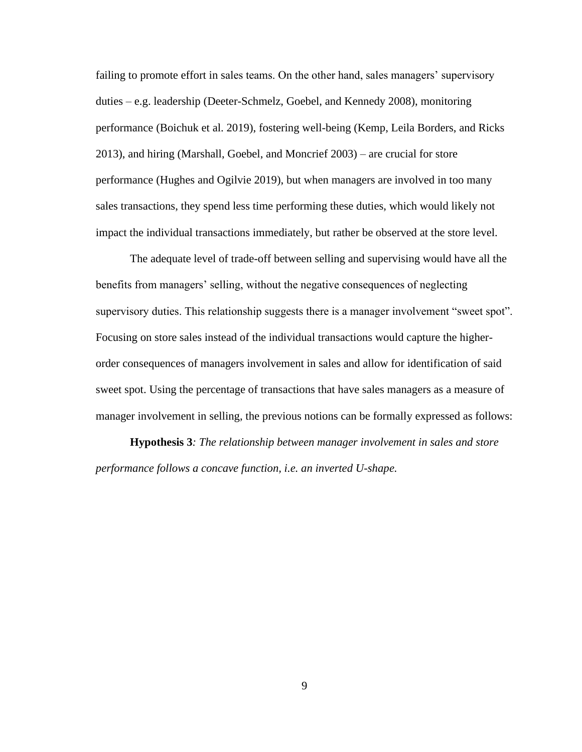failing to promote effort in sales teams. On the other hand, sales managers' supervisory duties – e.g. leadership (Deeter-Schmelz, Goebel, and Kennedy 2008), monitoring performance (Boichuk et al. 2019), fostering well-being (Kemp, Leila Borders, and Ricks 2013), and hiring (Marshall, Goebel, and Moncrief 2003) – are crucial for store performance (Hughes and Ogilvie 2019), but when managers are involved in too many sales transactions, they spend less time performing these duties, which would likely not impact the individual transactions immediately, but rather be observed at the store level.

The adequate level of trade-off between selling and supervising would have all the benefits from managers' selling, without the negative consequences of neglecting supervisory duties. This relationship suggests there is a manager involvement "sweet spot". Focusing on store sales instead of the individual transactions would capture the higherorder consequences of managers involvement in sales and allow for identification of said sweet spot. Using the percentage of transactions that have sales managers as a measure of manager involvement in selling, the previous notions can be formally expressed as follows:

**Hypothesis 3***: The relationship between manager involvement in sales and store performance follows a concave function, i.e. an inverted U-shape.*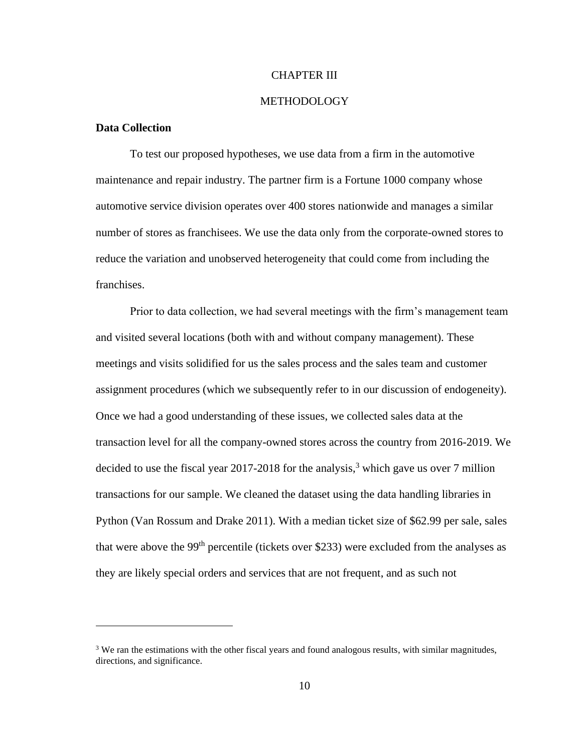#### CHAPTER III

### METHODOLOGY

## <span id="page-26-1"></span><span id="page-26-0"></span>**Data Collection**

To test our proposed hypotheses, we use data from a firm in the automotive maintenance and repair industry. The partner firm is a Fortune 1000 company whose automotive service division operates over 400 stores nationwide and manages a similar number of stores as franchisees. We use the data only from the corporate-owned stores to reduce the variation and unobserved heterogeneity that could come from including the franchises.

Prior to data collection, we had several meetings with the firm's management team and visited several locations (both with and without company management). These meetings and visits solidified for us the sales process and the sales team and customer assignment procedures (which we subsequently refer to in our discussion of endogeneity). Once we had a good understanding of these issues, we collected sales data at the transaction level for all the company-owned stores across the country from 2016-2019. We decided to use the fiscal year 2017-2018 for the analysis, <sup>3</sup> which gave us over 7 million transactions for our sample. We cleaned the dataset using the data handling libraries in Python (Van Rossum and Drake 2011). With a median ticket size of \$62.99 per sale, sales that were above the 99<sup>th</sup> percentile (tickets over \$233) were excluded from the analyses as they are likely special orders and services that are not frequent, and as such not

 $3$  We ran the estimations with the other fiscal years and found analogous results, with similar magnitudes, directions, and significance.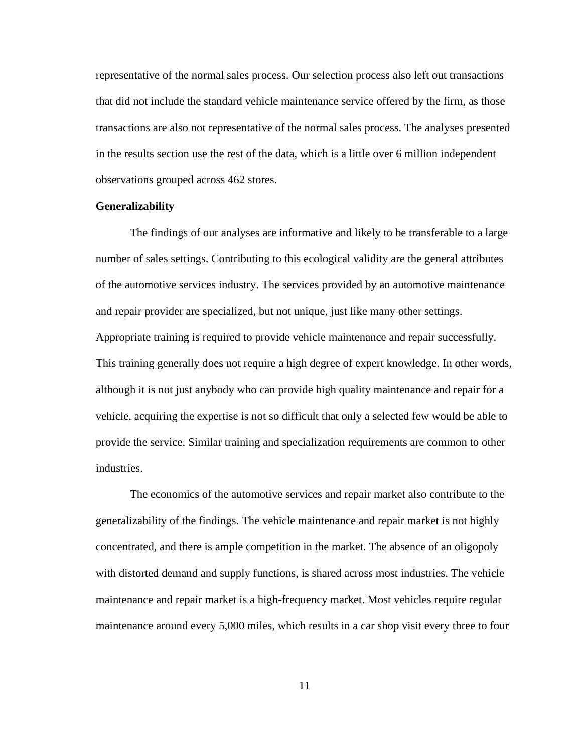representative of the normal sales process. Our selection process also left out transactions that did not include the standard vehicle maintenance service offered by the firm, as those transactions are also not representative of the normal sales process. The analyses presented in the results section use the rest of the data, which is a little over 6 million independent observations grouped across 462 stores.

### <span id="page-27-0"></span>**Generalizability**

The findings of our analyses are informative and likely to be transferable to a large number of sales settings. Contributing to this ecological validity are the general attributes of the automotive services industry. The services provided by an automotive maintenance and repair provider are specialized, but not unique, just like many other settings. Appropriate training is required to provide vehicle maintenance and repair successfully. This training generally does not require a high degree of expert knowledge. In other words, although it is not just anybody who can provide high quality maintenance and repair for a vehicle, acquiring the expertise is not so difficult that only a selected few would be able to provide the service. Similar training and specialization requirements are common to other industries.

The economics of the automotive services and repair market also contribute to the generalizability of the findings. The vehicle maintenance and repair market is not highly concentrated, and there is ample competition in the market. The absence of an oligopoly with distorted demand and supply functions, is shared across most industries. The vehicle maintenance and repair market is a high-frequency market. Most vehicles require regular maintenance around every 5,000 miles, which results in a car shop visit every three to four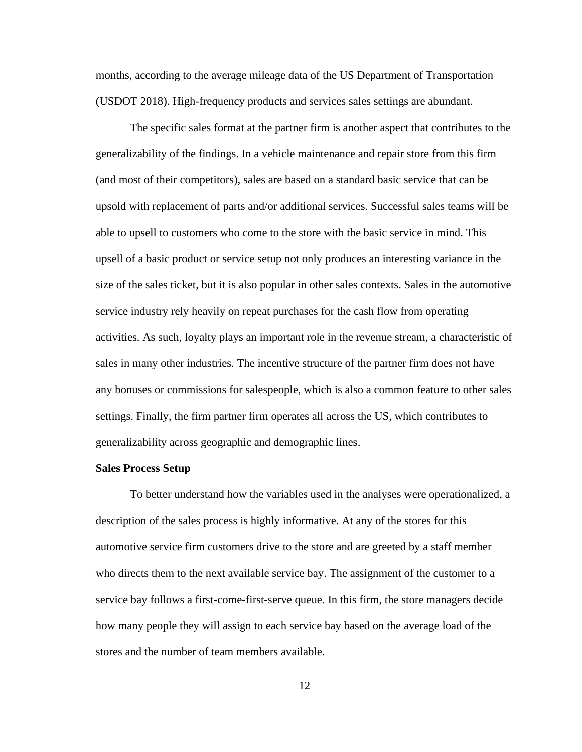months, according to the average mileage data of the US Department of Transportation (USDOT 2018). High-frequency products and services sales settings are abundant.

The specific sales format at the partner firm is another aspect that contributes to the generalizability of the findings. In a vehicle maintenance and repair store from this firm (and most of their competitors), sales are based on a standard basic service that can be upsold with replacement of parts and/or additional services. Successful sales teams will be able to upsell to customers who come to the store with the basic service in mind. This upsell of a basic product or service setup not only produces an interesting variance in the size of the sales ticket, but it is also popular in other sales contexts. Sales in the automotive service industry rely heavily on repeat purchases for the cash flow from operating activities. As such, loyalty plays an important role in the revenue stream, a characteristic of sales in many other industries. The incentive structure of the partner firm does not have any bonuses or commissions for salespeople, which is also a common feature to other sales settings. Finally, the firm partner firm operates all across the US, which contributes to generalizability across geographic and demographic lines.

#### <span id="page-28-0"></span>**Sales Process Setup**

To better understand how the variables used in the analyses were operationalized, a description of the sales process is highly informative. At any of the stores for this automotive service firm customers drive to the store and are greeted by a staff member who directs them to the next available service bay. The assignment of the customer to a service bay follows a first-come-first-serve queue. In this firm, the store managers decide how many people they will assign to each service bay based on the average load of the stores and the number of team members available.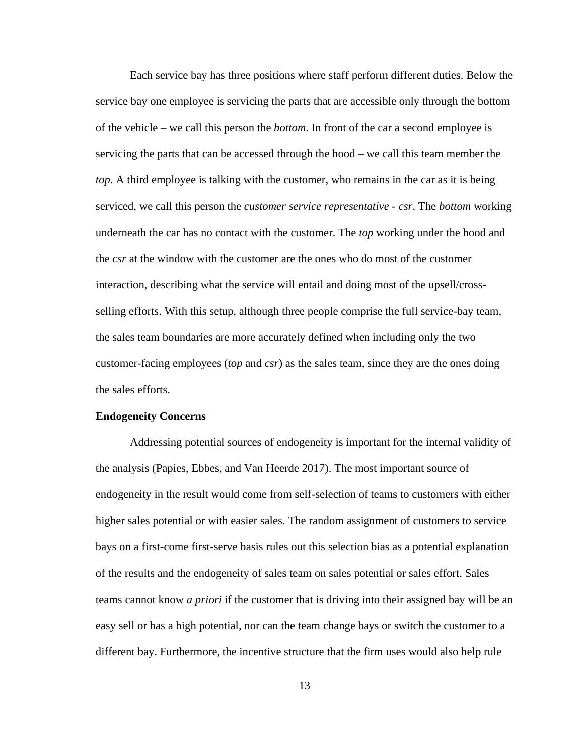Each service bay has three positions where staff perform different duties. Below the service bay one employee is servicing the parts that are accessible only through the bottom of the vehicle – we call this person the *bottom*. In front of the car a second employee is servicing the parts that can be accessed through the hood – we call this team member the *top*. A third employee is talking with the customer, who remains in the car as it is being serviced, we call this person the *customer service representative - csr*. The *bottom* working underneath the car has no contact with the customer. The *top* working under the hood and the *csr* at the window with the customer are the ones who do most of the customer interaction, describing what the service will entail and doing most of the upsell/crossselling efforts. With this setup, although three people comprise the full service-bay team, the sales team boundaries are more accurately defined when including only the two customer-facing employees (*top* and *csr*) as the sales team, since they are the ones doing the sales efforts.

#### <span id="page-29-0"></span>**Endogeneity Concerns**

Addressing potential sources of endogeneity is important for the internal validity of the analysis (Papies, Ebbes, and Van Heerde 2017). The most important source of endogeneity in the result would come from self-selection of teams to customers with either higher sales potential or with easier sales. The random assignment of customers to service bays on a first-come first-serve basis rules out this selection bias as a potential explanation of the results and the endogeneity of sales team on sales potential or sales effort. Sales teams cannot know *a priori* if the customer that is driving into their assigned bay will be an easy sell or has a high potential, nor can the team change bays or switch the customer to a different bay. Furthermore, the incentive structure that the firm uses would also help rule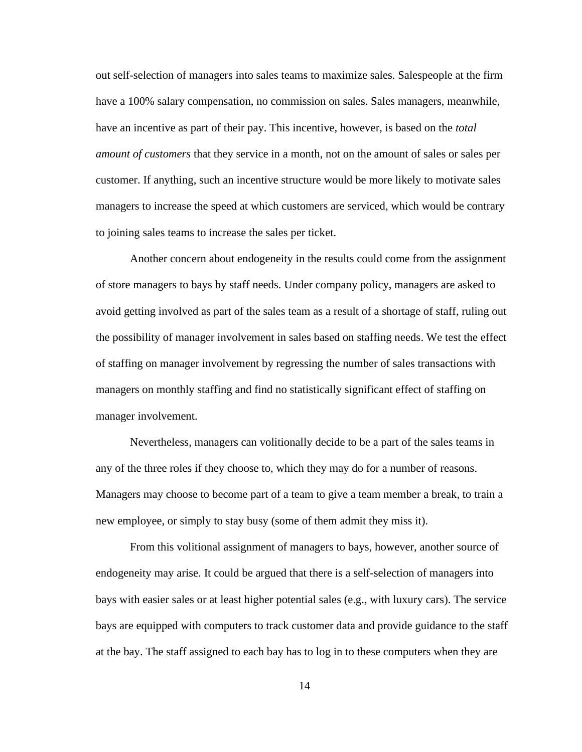out self-selection of managers into sales teams to maximize sales. Salespeople at the firm have a 100% salary compensation, no commission on sales. Sales managers, meanwhile, have an incentive as part of their pay. This incentive, however, is based on the *total amount of customers* that they service in a month, not on the amount of sales or sales per customer. If anything, such an incentive structure would be more likely to motivate sales managers to increase the speed at which customers are serviced, which would be contrary to joining sales teams to increase the sales per ticket.

Another concern about endogeneity in the results could come from the assignment of store managers to bays by staff needs. Under company policy, managers are asked to avoid getting involved as part of the sales team as a result of a shortage of staff, ruling out the possibility of manager involvement in sales based on staffing needs. We test the effect of staffing on manager involvement by regressing the number of sales transactions with managers on monthly staffing and find no statistically significant effect of staffing on manager involvement.

Nevertheless, managers can volitionally decide to be a part of the sales teams in any of the three roles if they choose to, which they may do for a number of reasons. Managers may choose to become part of a team to give a team member a break, to train a new employee, or simply to stay busy (some of them admit they miss it).

From this volitional assignment of managers to bays, however, another source of endogeneity may arise. It could be argued that there is a self-selection of managers into bays with easier sales or at least higher potential sales (e.g., with luxury cars). The service bays are equipped with computers to track customer data and provide guidance to the staff at the bay. The staff assigned to each bay has to log in to these computers when they are

14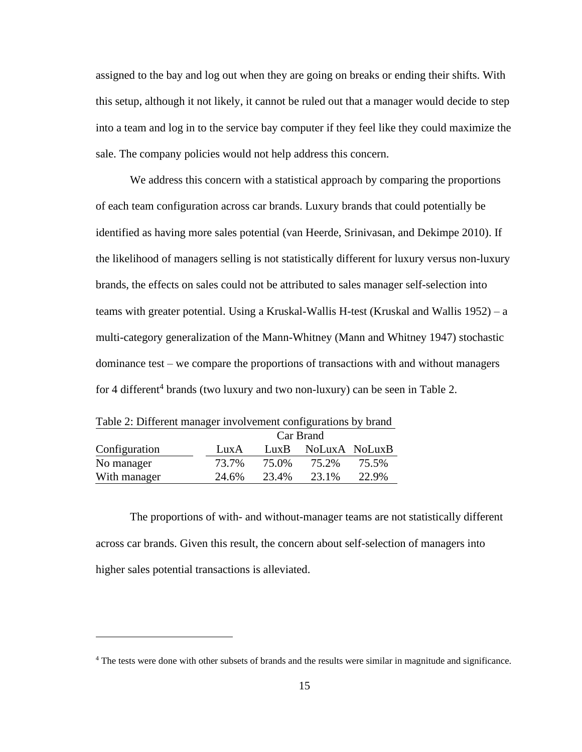assigned to the bay and log out when they are going on breaks or ending their shifts. With this setup, although it not likely, it cannot be ruled out that a manager would decide to step into a team and log in to the service bay computer if they feel like they could maximize the sale. The company policies would not help address this concern.

We address this concern with a statistical approach by comparing the proportions of each team configuration across car brands. Luxury brands that could potentially be identified as having more sales potential (van Heerde, Srinivasan, and Dekimpe 2010). If the likelihood of managers selling is not statistically different for luxury versus non-luxury brands, the effects on sales could not be attributed to sales manager self-selection into teams with greater potential. Using a Kruskal-Wallis H-test (Kruskal and Wallis 1952) – a multi-category generalization of the Mann-Whitney (Mann and Whitney 1947) stochastic dominance test – we compare the proportions of transactions with and without managers for 4 different<sup>4</sup> brands (two luxury and two non-luxury) can be seen in Table 2.

| Tuble 2. Different manager involvement configurations by brand |           |       |       |               |  |  |  |  |
|----------------------------------------------------------------|-----------|-------|-------|---------------|--|--|--|--|
|                                                                | Car Brand |       |       |               |  |  |  |  |
| Configuration                                                  | LuxA      | LuxB  |       | NoLuxA NoLuxB |  |  |  |  |
| No manager                                                     | 73.7%     | 75.0% | 75.2% | 75.5%         |  |  |  |  |
| With manager                                                   | 24.6%     | 23.4% | 23.1% | 22.9%         |  |  |  |  |

<span id="page-31-0"></span>Table 2: Different manager involvement configurations by brand

The proportions of with- and without-manager teams are not statistically different across car brands. Given this result, the concern about self-selection of managers into higher sales potential transactions is alleviated.

<sup>&</sup>lt;sup>4</sup> The tests were done with other subsets of brands and the results were similar in magnitude and significance.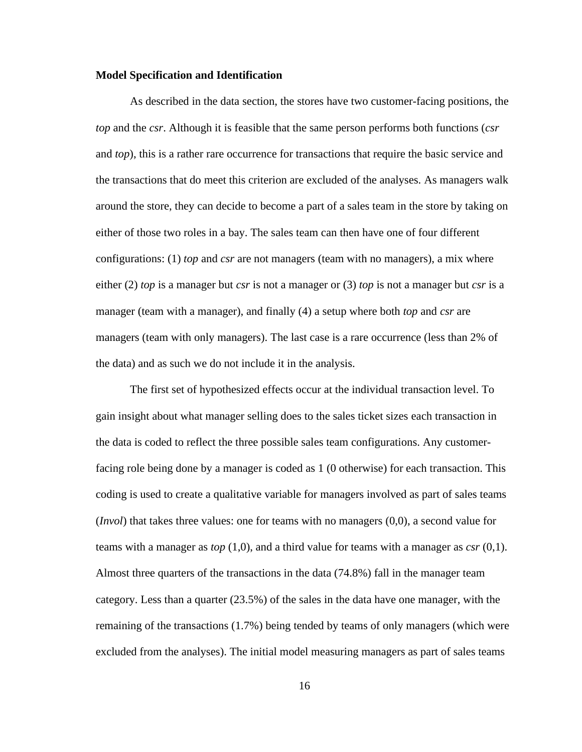#### <span id="page-32-0"></span>**Model Specification and Identification**

As described in the data section, the stores have two customer-facing positions, the *top* and the *csr*. Although it is feasible that the same person performs both functions (*csr* and *top*), this is a rather rare occurrence for transactions that require the basic service and the transactions that do meet this criterion are excluded of the analyses. As managers walk around the store, they can decide to become a part of a sales team in the store by taking on either of those two roles in a bay. The sales team can then have one of four different configurations: (1) *top* and *csr* are not managers (team with no managers), a mix where either (2) *top* is a manager but *csr* is not a manager or (3) *top* is not a manager but *csr* is a manager (team with a manager), and finally (4) a setup where both *top* and *csr* are managers (team with only managers). The last case is a rare occurrence (less than 2% of the data) and as such we do not include it in the analysis.

The first set of hypothesized effects occur at the individual transaction level. To gain insight about what manager selling does to the sales ticket sizes each transaction in the data is coded to reflect the three possible sales team configurations. Any customerfacing role being done by a manager is coded as 1 (0 otherwise) for each transaction. This coding is used to create a qualitative variable for managers involved as part of sales teams (*Invol*) that takes three values: one for teams with no managers (0,0), a second value for teams with a manager as *top* (1,0), and a third value for teams with a manager as *csr* (0,1). Almost three quarters of the transactions in the data (74.8%) fall in the manager team category. Less than a quarter (23.5%) of the sales in the data have one manager, with the remaining of the transactions (1.7%) being tended by teams of only managers (which were excluded from the analyses). The initial model measuring managers as part of sales teams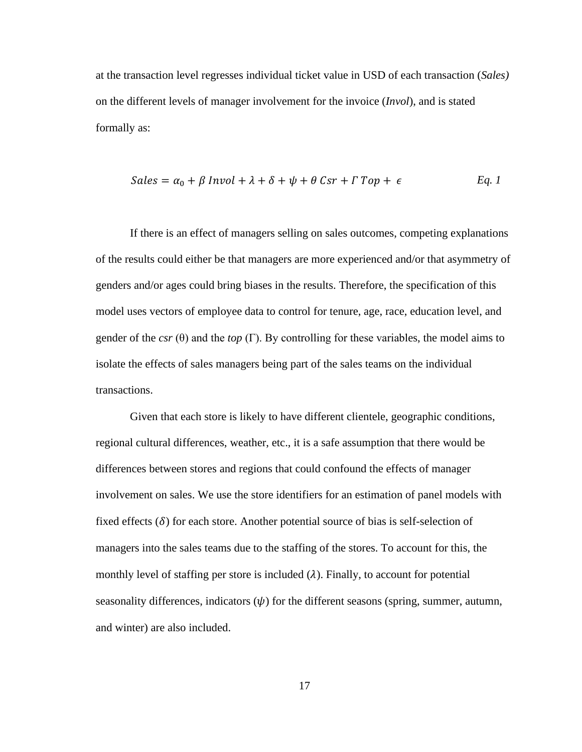at the transaction level regresses individual ticket value in USD of each transaction (*Sales)* on the different levels of manager involvement for the invoice (*Invol*), and is stated formally as:

$$
Sales = \alpha_0 + \beta \; \text{Invol} + \lambda + \delta + \psi + \theta \; \text{Csr} + \Gamma \; \text{Top} + \epsilon \qquad \qquad Eq. \; \text{I}
$$

If there is an effect of managers selling on sales outcomes, competing explanations of the results could either be that managers are more experienced and/or that asymmetry of genders and/or ages could bring biases in the results. Therefore, the specification of this model uses vectors of employee data to control for tenure, age, race, education level, and gender of the *csr* (θ) and the *top* (Γ). By controlling for these variables, the model aims to isolate the effects of sales managers being part of the sales teams on the individual transactions.

Given that each store is likely to have different clientele, geographic conditions, regional cultural differences, weather, etc., it is a safe assumption that there would be differences between stores and regions that could confound the effects of manager involvement on sales. We use the store identifiers for an estimation of panel models with fixed effects  $(\delta)$  for each store. Another potential source of bias is self-selection of managers into the sales teams due to the staffing of the stores. To account for this, the monthly level of staffing per store is included  $(\lambda)$ . Finally, to account for potential seasonality differences, indicators  $(\psi)$  for the different seasons (spring, summer, autumn, and winter) are also included.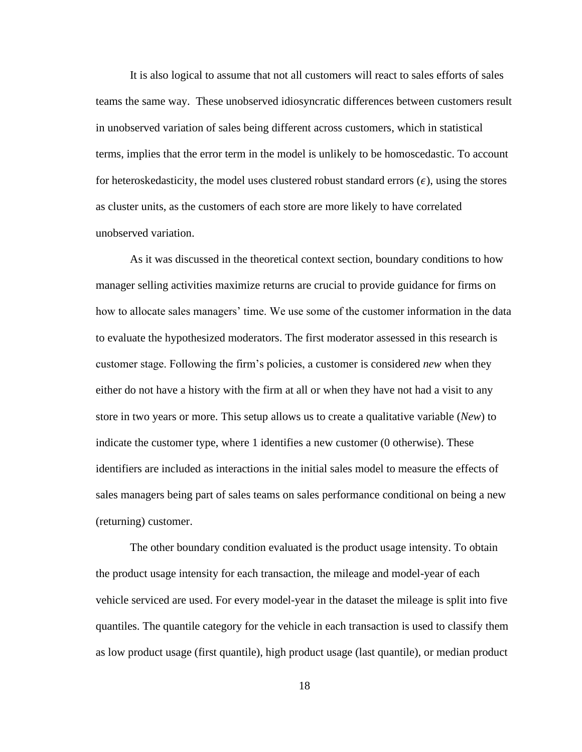It is also logical to assume that not all customers will react to sales efforts of sales teams the same way. These unobserved idiosyncratic differences between customers result in unobserved variation of sales being different across customers, which in statistical terms, implies that the error term in the model is unlikely to be homoscedastic. To account for heteroskedasticity, the model uses clustered robust standard errors  $(\epsilon)$ , using the stores as cluster units, as the customers of each store are more likely to have correlated unobserved variation.

As it was discussed in the theoretical context section, boundary conditions to how manager selling activities maximize returns are crucial to provide guidance for firms on how to allocate sales managers' time. We use some of the customer information in the data to evaluate the hypothesized moderators. The first moderator assessed in this research is customer stage. Following the firm's policies, a customer is considered *new* when they either do not have a history with the firm at all or when they have not had a visit to any store in two years or more. This setup allows us to create a qualitative variable (*New*) to indicate the customer type, where 1 identifies a new customer (0 otherwise). These identifiers are included as interactions in the initial sales model to measure the effects of sales managers being part of sales teams on sales performance conditional on being a new (returning) customer.

The other boundary condition evaluated is the product usage intensity. To obtain the product usage intensity for each transaction, the mileage and model-year of each vehicle serviced are used. For every model-year in the dataset the mileage is split into five quantiles. The quantile category for the vehicle in each transaction is used to classify them as low product usage (first quantile), high product usage (last quantile), or median product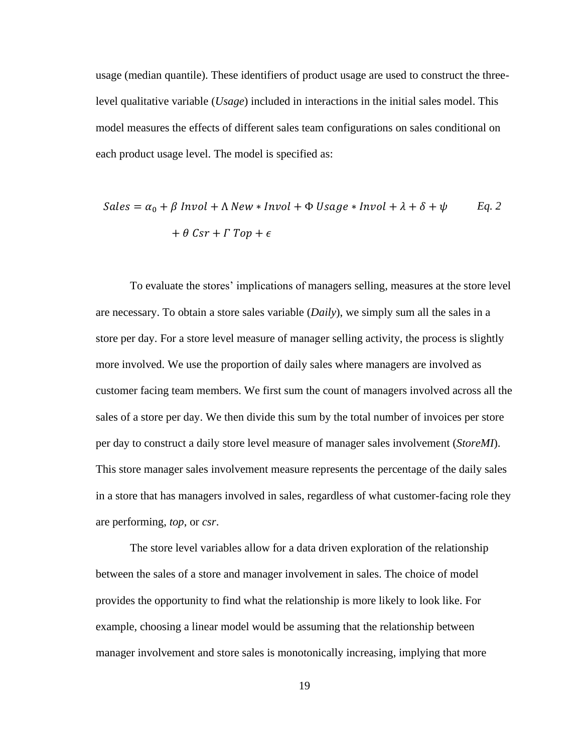usage (median quantile). These identifiers of product usage are used to construct the threelevel qualitative variable (*Usage*) included in interactions in the initial sales model. This model measures the effects of different sales team configurations on sales conditional on each product usage level. The model is specified as:

$$
Sales = \alpha_0 + \beta \text{ Invol} + \Lambda \text{ New} * \text{Invol} + \Phi \text{ Usage} * \text{Invol} + \lambda + \delta + \psi
$$
 Eq. 2  
+  $\theta \text{ Csr} + \Gamma \text{ Top} + \epsilon$ 

To evaluate the stores' implications of managers selling, measures at the store level are necessary. To obtain a store sales variable (*Daily*), we simply sum all the sales in a store per day. For a store level measure of manager selling activity, the process is slightly more involved. We use the proportion of daily sales where managers are involved as customer facing team members. We first sum the count of managers involved across all the sales of a store per day. We then divide this sum by the total number of invoices per store per day to construct a daily store level measure of manager sales involvement (*StoreMI*). This store manager sales involvement measure represents the percentage of the daily sales in a store that has managers involved in sales, regardless of what customer-facing role they are performing, *top*, or *csr*.

The store level variables allow for a data driven exploration of the relationship between the sales of a store and manager involvement in sales. The choice of model provides the opportunity to find what the relationship is more likely to look like. For example, choosing a linear model would be assuming that the relationship between manager involvement and store sales is monotonically increasing, implying that more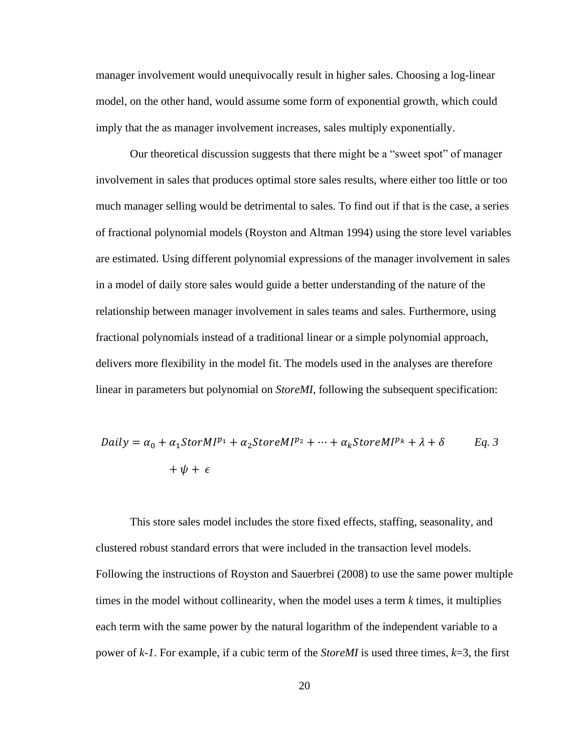manager involvement would unequivocally result in higher sales. Choosing a log-linear model, on the other hand, would assume some form of exponential growth, which could imply that the as manager involvement increases, sales multiply exponentially.

Our theoretical discussion suggests that there might be a "sweet spot" of manager involvement in sales that produces optimal store sales results, where either too little or too much manager selling would be detrimental to sales. To find out if that is the case, a series of fractional polynomial models (Royston and Altman 1994) using the store level variables are estimated. Using different polynomial expressions of the manager involvement in sales in a model of daily store sales would guide a better understanding of the nature of the relationship between manager involvement in sales teams and sales. Furthermore, using fractional polynomials instead of a traditional linear or a simple polynomial approach, delivers more flexibility in the model fit. The models used in the analyses are therefore linear in parameters but polynomial on *StoreMI*, following the subsequent specification:

$$
Daily = \alpha_0 + \alpha_1 Stor M I^{p_1} + \alpha_2 Store M I^{p_2} + \dots + \alpha_k Store M I^{p_k} + \lambda + \delta
$$
 Eq. 3  
+  $\psi + \epsilon$ 

This store sales model includes the store fixed effects, staffing, seasonality, and clustered robust standard errors that were included in the transaction level models. Following the instructions of Royston and Sauerbrei (2008) to use the same power multiple times in the model without collinearity, when the model uses a term *k* times, it multiplies each term with the same power by the natural logarithm of the independent variable to a power of *k-1*. For example, if a cubic term of the *StoreMI* is used three times, *k*=3, the first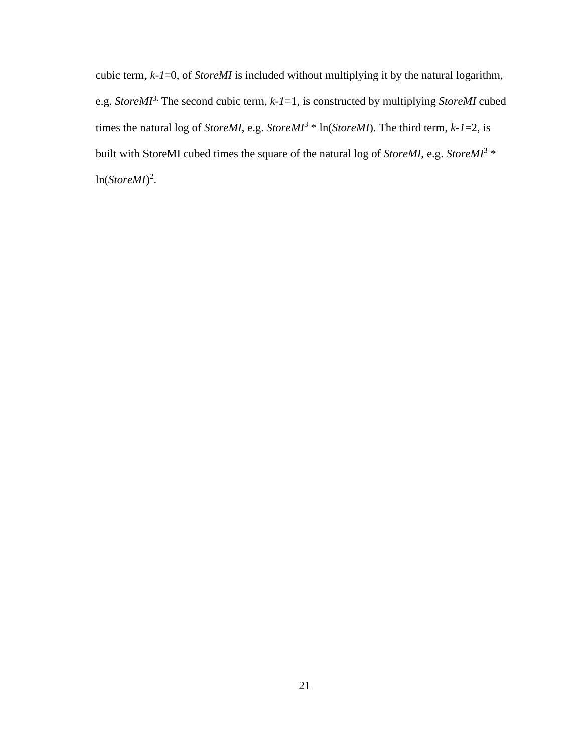cubic term, *k-1*=0, of *StoreMI* is included without multiplying it by the natural logarithm, e.g. *StoreMI*3. The second cubic term, *k-1*=1, is constructed by multiplying *StoreMI* cubed times the natural log of *StoreMI*, e.g. *StoreMI*<sup>3</sup> \* ln(*StoreMI*). The third term, *k-1*=2, is built with StoreMI cubed times the square of the natural log of *StoreMI*, e.g. *StoreMI*<sup>3</sup> \* ln(*StoreMI*) 2 .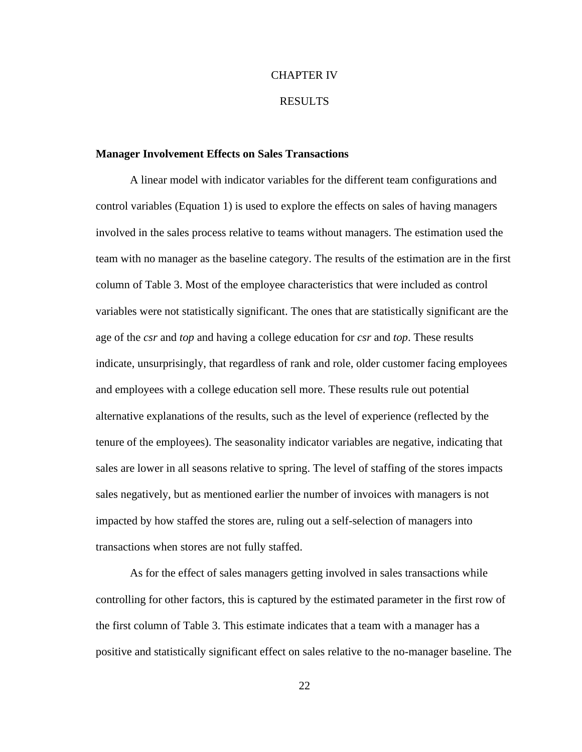# CHAPTER IV

### RESULTS

## **Manager Involvement Effects on Sales Transactions**

A linear model with indicator variables for the different team configurations and control variables (Equation 1) is used to explore the effects on sales of having managers involved in the sales process relative to teams without managers. The estimation used the team with no manager as the baseline category. The results of the estimation are in the first column of Table 3. Most of the employee characteristics that were included as control variables were not statistically significant. The ones that are statistically significant are the age of the *csr* and *top* and having a college education for *csr* and *top*. These results indicate, unsurprisingly, that regardless of rank and role, older customer facing employees and employees with a college education sell more. These results rule out potential alternative explanations of the results, such as the level of experience (reflected by the tenure of the employees). The seasonality indicator variables are negative, indicating that sales are lower in all seasons relative to spring. The level of staffing of the stores impacts sales negatively, but as mentioned earlier the number of invoices with managers is not impacted by how staffed the stores are, ruling out a self-selection of managers into transactions when stores are not fully staffed.

As for the effect of sales managers getting involved in sales transactions while controlling for other factors, this is captured by the estimated parameter in the first row of the first column of Table 3. This estimate indicates that a team with a manager has a positive and statistically significant effect on sales relative to the no-manager baseline. The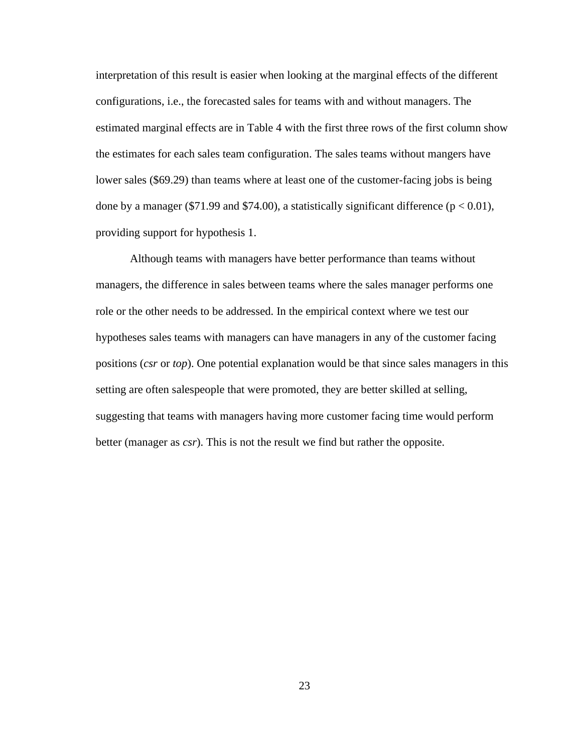interpretation of this result is easier when looking at the marginal effects of the different configurations, i.e., the forecasted sales for teams with and without managers. The estimated marginal effects are in Table 4 with the first three rows of the first column show the estimates for each sales team configuration. The sales teams without mangers have lower sales (\$69.29) than teams where at least one of the customer-facing jobs is being done by a manager (\$71.99 and \$74.00), a statistically significant difference ( $p < 0.01$ ), providing support for hypothesis 1.

Although teams with managers have better performance than teams without managers, the difference in sales between teams where the sales manager performs one role or the other needs to be addressed. In the empirical context where we test our hypotheses sales teams with managers can have managers in any of the customer facing positions (*csr* or *top*). One potential explanation would be that since sales managers in this setting are often salespeople that were promoted, they are better skilled at selling, suggesting that teams with managers having more customer facing time would perform better (manager as *csr*). This is not the result we find but rather the opposite.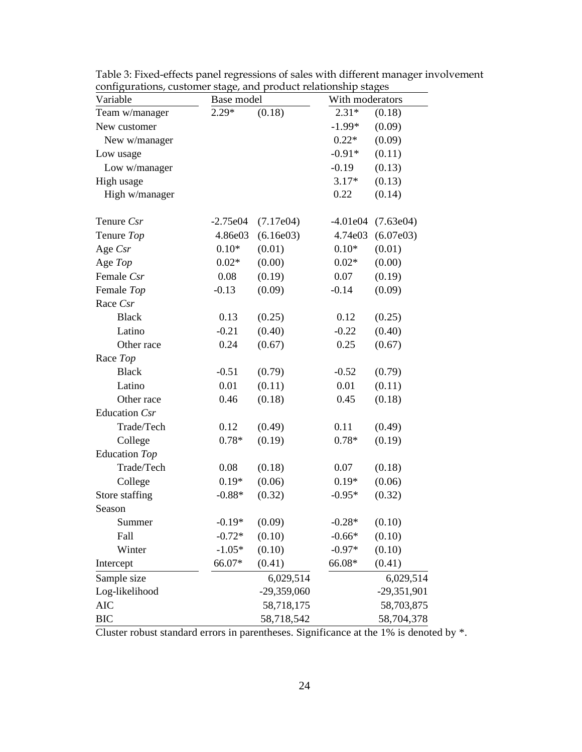| Variable       | conngulations, customer stage, and product relationship stages<br>Base model |               | With moderators |               |  |
|----------------|------------------------------------------------------------------------------|---------------|-----------------|---------------|--|
| Team w/manager | $2.29*$                                                                      | (0.18)        | $2.31*$         | (0.18)        |  |
| New customer   |                                                                              |               | $-1.99*$        | (0.09)        |  |
| New w/manager  |                                                                              |               | $0.22*$         | (0.09)        |  |
| Low usage      |                                                                              |               | $-0.91*$        | (0.11)        |  |
| Low w/manager  |                                                                              |               | $-0.19$         | (0.13)        |  |
| High usage     |                                                                              |               | $3.17*$         | (0.13)        |  |
| High w/manager |                                                                              |               | 0.22            | (0.14)        |  |
| Tenure Csr     | $-2.75e04$                                                                   | (7.17e04)     | $-4.01e04$      | (7.63e04)     |  |
| Tenure Top     | 4.86e03                                                                      | (6.16e03)     | 4.74e03         | (6.07e03)     |  |
| Age Csr        | $0.10*$                                                                      | (0.01)        | $0.10*$         | (0.01)        |  |
| Age Top        | $0.02*$                                                                      | (0.00)        | $0.02*$         | (0.00)        |  |
| Female Csr     | 0.08                                                                         | (0.19)        | 0.07            | (0.19)        |  |
| Female Top     | $-0.13$                                                                      | (0.09)        | $-0.14$         | (0.09)        |  |
| Race Csr       |                                                                              |               |                 |               |  |
| <b>Black</b>   | 0.13                                                                         | (0.25)        | 0.12            | (0.25)        |  |
| Latino         | $-0.21$                                                                      | (0.40)        | $-0.22$         | (0.40)        |  |
| Other race     | 0.24                                                                         | (0.67)        | 0.25            | (0.67)        |  |
| Race Top       |                                                                              |               |                 |               |  |
| <b>Black</b>   | $-0.51$                                                                      | (0.79)        | $-0.52$         | (0.79)        |  |
| Latino         | 0.01                                                                         | (0.11)        | 0.01            | (0.11)        |  |
| Other race     | 0.46                                                                         | (0.18)        | 0.45            | (0.18)        |  |
| Education Csr  |                                                                              |               |                 |               |  |
| Trade/Tech     | 0.12                                                                         | (0.49)        | 0.11            | (0.49)        |  |
| College        | $0.78*$                                                                      | (0.19)        | $0.78*$         | (0.19)        |  |
| Education Top  |                                                                              |               |                 |               |  |
| Trade/Tech     | 0.08                                                                         | (0.18)        | 0.07            | (0.18)        |  |
| College        | $0.19*$                                                                      | (0.06)        | $0.19*$         | (0.06)        |  |
| Store staffing | $-0.88*$                                                                     | (0.32)        | $-0.95*$        | (0.32)        |  |
| Season         |                                                                              |               |                 |               |  |
| Summer         | $-0.19*$                                                                     | (0.09)        | $-0.28*$        | (0.10)        |  |
| Fall           | $-0.72*$                                                                     | (0.10)        | $-0.66*$        | (0.10)        |  |
| Winter         | $-1.05*$                                                                     | (0.10)        | $-0.97*$        | (0.10)        |  |
| Intercept      | 66.07*                                                                       | (0.41)        | 66.08*          | (0.41)        |  |
| Sample size    |                                                                              | 6,029,514     |                 | 6,029,514     |  |
| Log-likelihood |                                                                              | $-29,359,060$ |                 | $-29,351,901$ |  |
| <b>AIC</b>     |                                                                              | 58,718,175    |                 | 58,703,875    |  |
| <b>BIC</b>     |                                                                              | 58,718,542    |                 | 58,704,378    |  |

Table 3: Fixed-effects panel regressions of sales with different manager involvement configurations, customer stage, and product relationship stages

Cluster robust standard errors in parentheses. Significance at the 1% is denoted by \*.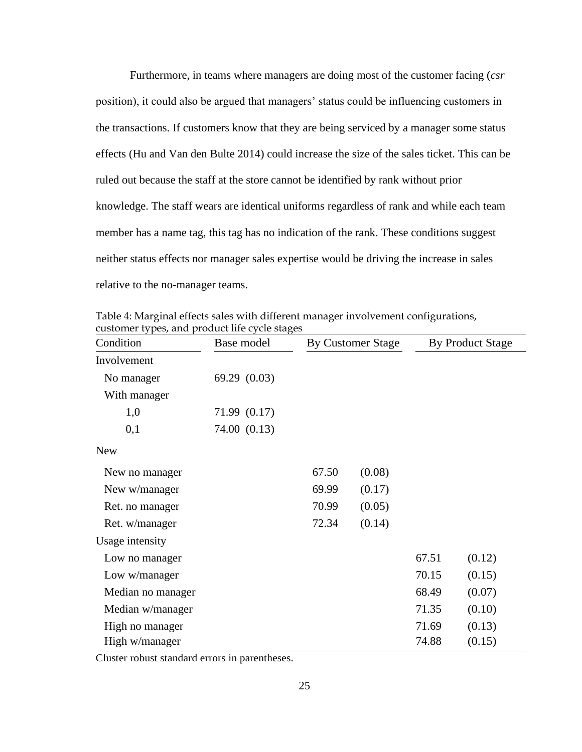Furthermore, in teams where managers are doing most of the customer facing (*csr* position), it could also be argued that managers' status could be influencing customers in the transactions. If customers know that they are being serviced by a manager some status effects (Hu and Van den Bulte 2014) could increase the size of the sales ticket. This can be ruled out because the staff at the store cannot be identified by rank without prior knowledge. The staff wears are identical uniforms regardless of rank and while each team member has a name tag, this tag has no indication of the rank. These conditions suggest neither status effects nor manager sales expertise would be driving the increase in sales relative to the no-manager teams.

| Condition         | Base model   | <b>By Customer Stage</b> |        | <b>By Product Stage</b> |        |
|-------------------|--------------|--------------------------|--------|-------------------------|--------|
| Involvement       |              |                          |        |                         |        |
| No manager        | 69.29 (0.03) |                          |        |                         |        |
| With manager      |              |                          |        |                         |        |
| 1,0               | 71.99 (0.17) |                          |        |                         |        |
| 0,1               | 74.00 (0.13) |                          |        |                         |        |
| <b>New</b>        |              |                          |        |                         |        |
| New no manager    |              | 67.50                    | (0.08) |                         |        |
| New w/manager     |              | 69.99                    | (0.17) |                         |        |
| Ret. no manager   |              | 70.99                    | (0.05) |                         |        |
| Ret. w/manager    |              | 72.34                    | (0.14) |                         |        |
| Usage intensity   |              |                          |        |                         |        |
| Low no manager    |              |                          |        | 67.51                   | (0.12) |
| Low w/manager     |              |                          |        | 70.15                   | (0.15) |
| Median no manager |              |                          |        | 68.49                   | (0.07) |
| Median w/manager  |              |                          |        | 71.35                   | (0.10) |
| High no manager   |              |                          |        | 71.69                   | (0.13) |
| High w/manager    |              |                          |        | 74.88                   | (0.15) |

Table 4: Marginal effects sales with different manager involvement configurations, customer types, and product life cycle stages

Cluster robust standard errors in parentheses.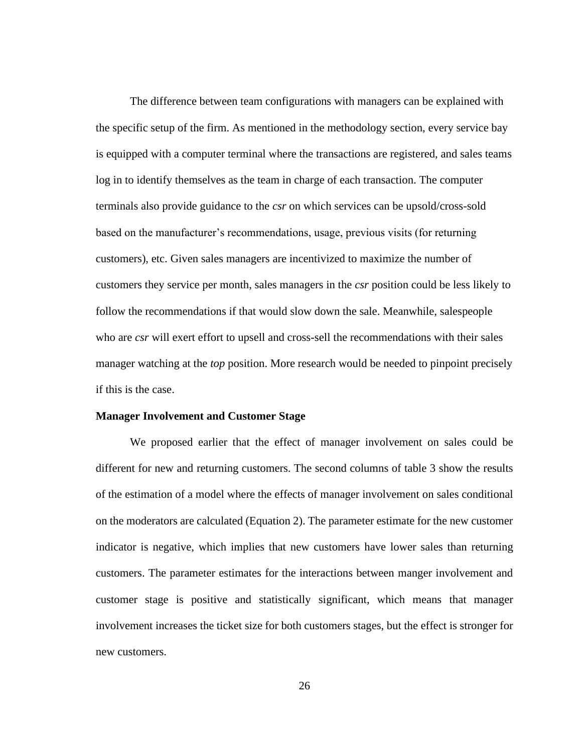The difference between team configurations with managers can be explained with the specific setup of the firm. As mentioned in the methodology section, every service bay is equipped with a computer terminal where the transactions are registered, and sales teams log in to identify themselves as the team in charge of each transaction. The computer terminals also provide guidance to the *csr* on which services can be upsold/cross-sold based on the manufacturer's recommendations, usage, previous visits (for returning customers), etc. Given sales managers are incentivized to maximize the number of customers they service per month, sales managers in the *csr* position could be less likely to follow the recommendations if that would slow down the sale. Meanwhile, salespeople who are *csr* will exert effort to upsell and cross-sell the recommendations with their sales manager watching at the *top* position. More research would be needed to pinpoint precisely if this is the case.

#### **Manager Involvement and Customer Stage**

We proposed earlier that the effect of manager involvement on sales could be different for new and returning customers. The second columns of table 3 show the results of the estimation of a model where the effects of manager involvement on sales conditional on the moderators are calculated (Equation 2). The parameter estimate for the new customer indicator is negative, which implies that new customers have lower sales than returning customers. The parameter estimates for the interactions between manger involvement and customer stage is positive and statistically significant, which means that manager involvement increases the ticket size for both customers stages, but the effect is stronger for new customers.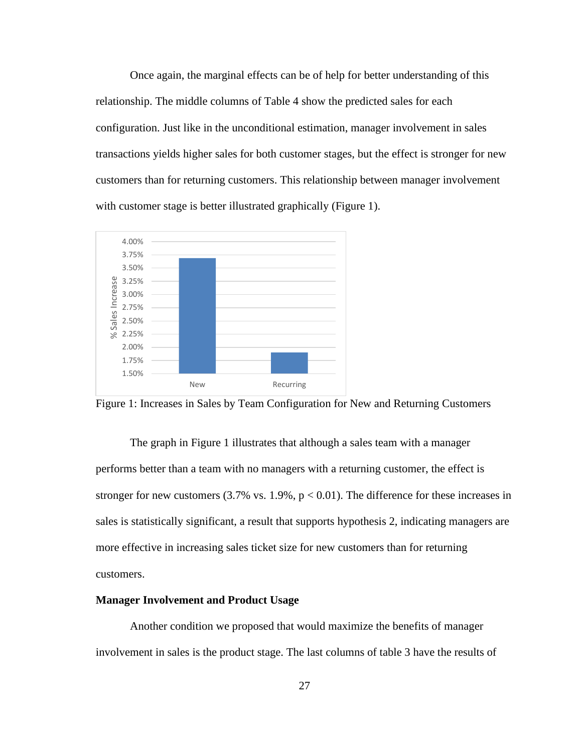Once again, the marginal effects can be of help for better understanding of this relationship. The middle columns of Table 4 show the predicted sales for each configuration. Just like in the unconditional estimation, manager involvement in sales transactions yields higher sales for both customer stages, but the effect is stronger for new customers than for returning customers. This relationship between manager involvement with customer stage is better illustrated graphically (Figure 1).



Figure 1: Increases in Sales by Team Configuration for New and Returning Customers

The graph in Figure 1 illustrates that although a sales team with a manager performs better than a team with no managers with a returning customer, the effect is stronger for new customers  $(3.7\% \text{ vs. } 1.9\%, \text{ p} < 0.01)$ . The difference for these increases in sales is statistically significant, a result that supports hypothesis 2, indicating managers are more effective in increasing sales ticket size for new customers than for returning customers.

## **Manager Involvement and Product Usage**

Another condition we proposed that would maximize the benefits of manager involvement in sales is the product stage. The last columns of table 3 have the results of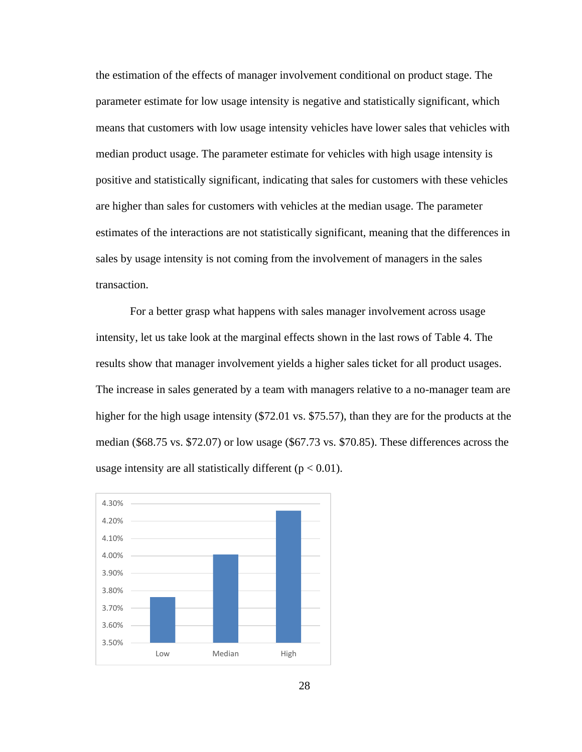the estimation of the effects of manager involvement conditional on product stage. The parameter estimate for low usage intensity is negative and statistically significant, which means that customers with low usage intensity vehicles have lower sales that vehicles with median product usage. The parameter estimate for vehicles with high usage intensity is positive and statistically significant, indicating that sales for customers with these vehicles are higher than sales for customers with vehicles at the median usage. The parameter estimates of the interactions are not statistically significant, meaning that the differences in sales by usage intensity is not coming from the involvement of managers in the sales transaction.

For a better grasp what happens with sales manager involvement across usage intensity, let us take look at the marginal effects shown in the last rows of Table 4. The results show that manager involvement yields a higher sales ticket for all product usages. The increase in sales generated by a team with managers relative to a no-manager team are higher for the high usage intensity (\$72.01 vs. \$75.57), than they are for the products at the median (\$68.75 vs. \$72.07) or low usage (\$67.73 vs. \$70.85). These differences across the usage intensity are all statistically different ( $p < 0.01$ ).



28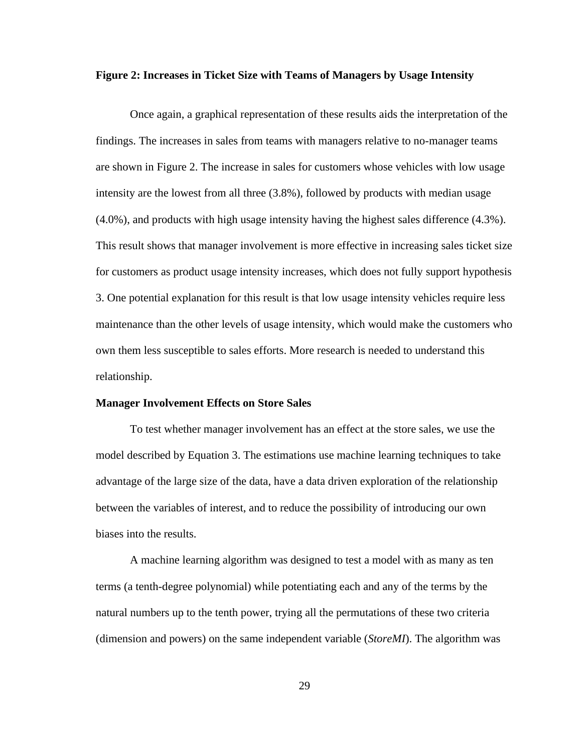## **Figure 2: Increases in Ticket Size with Teams of Managers by Usage Intensity**

Once again, a graphical representation of these results aids the interpretation of the findings. The increases in sales from teams with managers relative to no-manager teams are shown in Figure 2. The increase in sales for customers whose vehicles with low usage intensity are the lowest from all three (3.8%), followed by products with median usage (4.0%), and products with high usage intensity having the highest sales difference (4.3%). This result shows that manager involvement is more effective in increasing sales ticket size for customers as product usage intensity increases, which does not fully support hypothesis 3. One potential explanation for this result is that low usage intensity vehicles require less maintenance than the other levels of usage intensity, which would make the customers who own them less susceptible to sales efforts. More research is needed to understand this relationship.

## **Manager Involvement Effects on Store Sales**

To test whether manager involvement has an effect at the store sales, we use the model described by Equation 3. The estimations use machine learning techniques to take advantage of the large size of the data, have a data driven exploration of the relationship between the variables of interest, and to reduce the possibility of introducing our own biases into the results.

A machine learning algorithm was designed to test a model with as many as ten terms (a tenth-degree polynomial) while potentiating each and any of the terms by the natural numbers up to the tenth power, trying all the permutations of these two criteria (dimension and powers) on the same independent variable (*StoreMI*). The algorithm was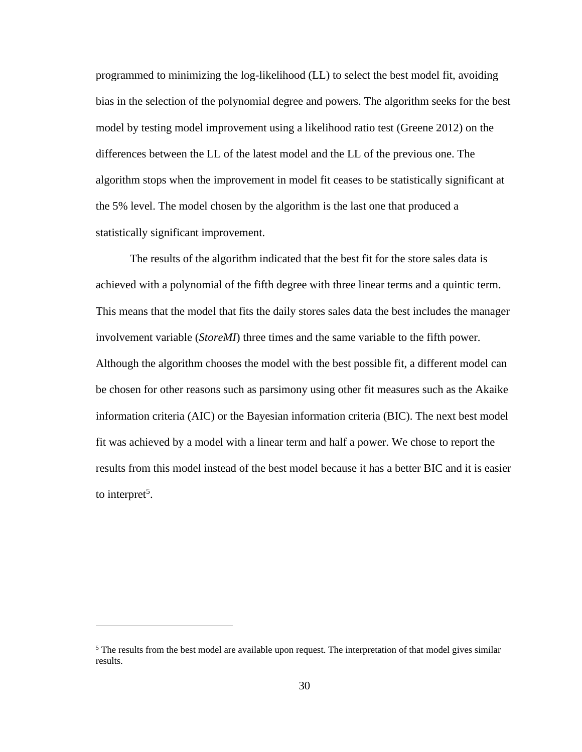programmed to minimizing the log-likelihood (LL) to select the best model fit, avoiding bias in the selection of the polynomial degree and powers. The algorithm seeks for the best model by testing model improvement using a likelihood ratio test (Greene 2012) on the differences between the LL of the latest model and the LL of the previous one. The algorithm stops when the improvement in model fit ceases to be statistically significant at the 5% level. The model chosen by the algorithm is the last one that produced a statistically significant improvement.

The results of the algorithm indicated that the best fit for the store sales data is achieved with a polynomial of the fifth degree with three linear terms and a quintic term. This means that the model that fits the daily stores sales data the best includes the manager involvement variable (*StoreMI*) three times and the same variable to the fifth power. Although the algorithm chooses the model with the best possible fit, a different model can be chosen for other reasons such as parsimony using other fit measures such as the Akaike information criteria (AIC) or the Bayesian information criteria (BIC). The next best model fit was achieved by a model with a linear term and half a power. We chose to report the results from this model instead of the best model because it has a better BIC and it is easier to interpret<sup>5</sup>.

<sup>&</sup>lt;sup>5</sup> The results from the best model are available upon request. The interpretation of that model gives similar results.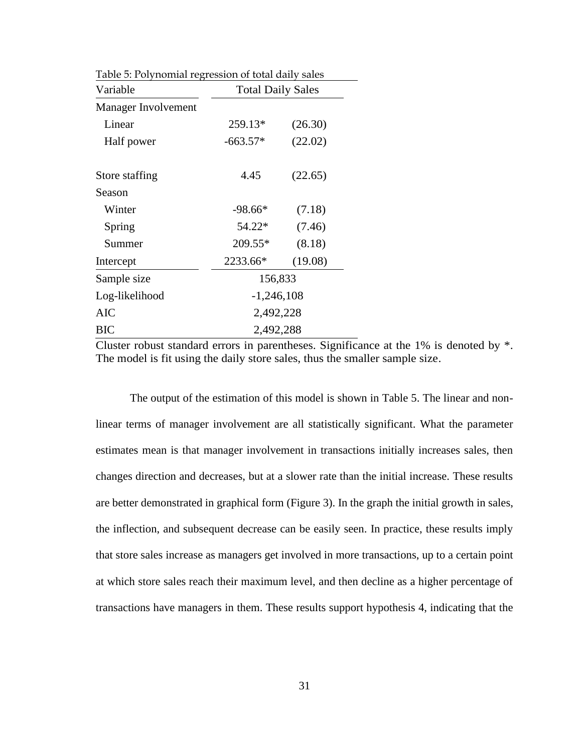| Variable            | <b>Total Daily Sales</b> |         |  |  |
|---------------------|--------------------------|---------|--|--|
| Manager Involvement |                          |         |  |  |
| Linear              | 259.13*                  | (26.30) |  |  |
| Half power          | $-663.57*$               | (22.02) |  |  |
| Store staffing      | 4.45                     | (22.65) |  |  |
| Season              |                          |         |  |  |
| Winter              | $-98.66*$                | (7.18)  |  |  |
| Spring              | 54.22*                   | (7.46)  |  |  |
| Summer              | 209.55*                  | (8.18)  |  |  |
| Intercept           | 2233.66*                 | (19.08) |  |  |
| Sample size         | 156,833                  |         |  |  |
| Log-likelihood      | $-1,246,108$             |         |  |  |
| <b>AIC</b>          | 2,492,228                |         |  |  |
| ВIС                 | 2,492,288                |         |  |  |

Table 5: Polynomial regression of total daily sales

Cluster robust standard errors in parentheses. Significance at the 1% is denoted by \*. The model is fit using the daily store sales, thus the smaller sample size.

The output of the estimation of this model is shown in Table 5. The linear and nonlinear terms of manager involvement are all statistically significant. What the parameter estimates mean is that manager involvement in transactions initially increases sales, then changes direction and decreases, but at a slower rate than the initial increase. These results are better demonstrated in graphical form (Figure 3). In the graph the initial growth in sales, the inflection, and subsequent decrease can be easily seen. In practice, these results imply that store sales increase as managers get involved in more transactions, up to a certain point at which store sales reach their maximum level, and then decline as a higher percentage of transactions have managers in them. These results support hypothesis 4, indicating that the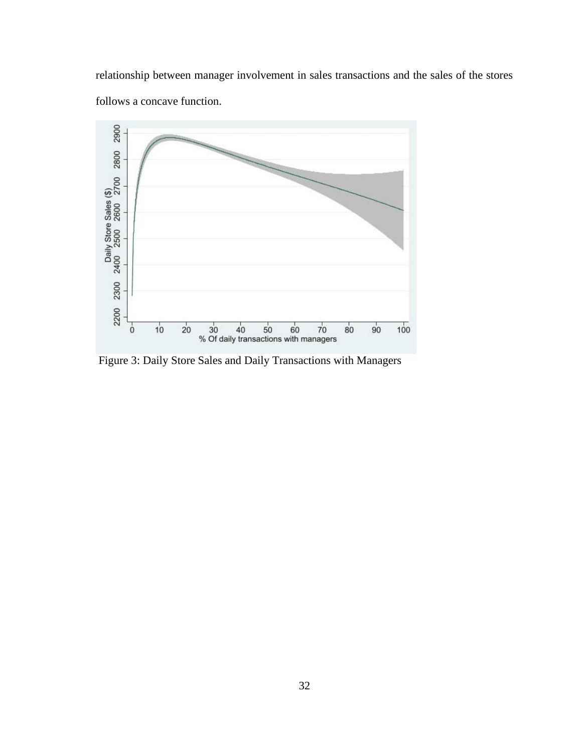relationship between manager involvement in sales transactions and the sales of the stores follows a concave function.



Figure 3: Daily Store Sales and Daily Transactions with Managers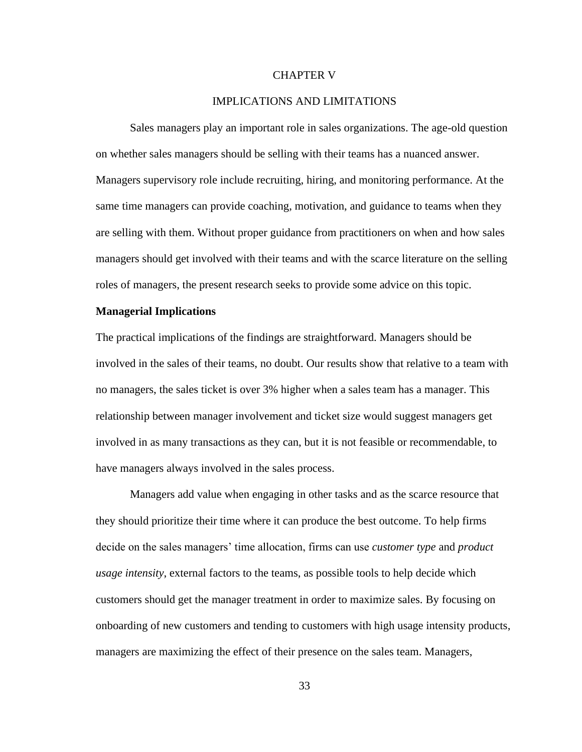### CHAPTER V

# IMPLICATIONS AND LIMITATIONS

Sales managers play an important role in sales organizations. The age-old question on whether sales managers should be selling with their teams has a nuanced answer. Managers supervisory role include recruiting, hiring, and monitoring performance. At the same time managers can provide coaching, motivation, and guidance to teams when they are selling with them. Without proper guidance from practitioners on when and how sales managers should get involved with their teams and with the scarce literature on the selling roles of managers, the present research seeks to provide some advice on this topic.

#### **Managerial Implications**

The practical implications of the findings are straightforward. Managers should be involved in the sales of their teams, no doubt. Our results show that relative to a team with no managers, the sales ticket is over 3% higher when a sales team has a manager. This relationship between manager involvement and ticket size would suggest managers get involved in as many transactions as they can, but it is not feasible or recommendable, to have managers always involved in the sales process.

Managers add value when engaging in other tasks and as the scarce resource that they should prioritize their time where it can produce the best outcome. To help firms decide on the sales managers' time allocation, firms can use *customer type* and *product usage intensity*, external factors to the teams, as possible tools to help decide which customers should get the manager treatment in order to maximize sales. By focusing on onboarding of new customers and tending to customers with high usage intensity products, managers are maximizing the effect of their presence on the sales team. Managers,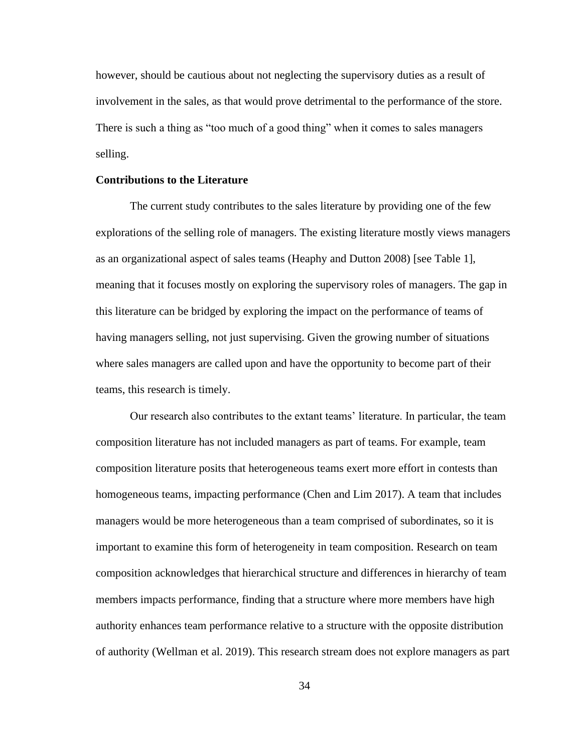however, should be cautious about not neglecting the supervisory duties as a result of involvement in the sales, as that would prove detrimental to the performance of the store. There is such a thing as "too much of a good thing" when it comes to sales managers selling.

## **Contributions to the Literature**

The current study contributes to the sales literature by providing one of the few explorations of the selling role of managers. The existing literature mostly views managers as an organizational aspect of sales teams (Heaphy and Dutton 2008) [see Table 1], meaning that it focuses mostly on exploring the supervisory roles of managers. The gap in this literature can be bridged by exploring the impact on the performance of teams of having managers selling, not just supervising. Given the growing number of situations where sales managers are called upon and have the opportunity to become part of their teams, this research is timely.

Our research also contributes to the extant teams' literature. In particular, the team composition literature has not included managers as part of teams. For example, team composition literature posits that heterogeneous teams exert more effort in contests than homogeneous teams, impacting performance (Chen and Lim 2017). A team that includes managers would be more heterogeneous than a team comprised of subordinates, so it is important to examine this form of heterogeneity in team composition. Research on team composition acknowledges that hierarchical structure and differences in hierarchy of team members impacts performance, finding that a structure where more members have high authority enhances team performance relative to a structure with the opposite distribution of authority (Wellman et al. 2019). This research stream does not explore managers as part

34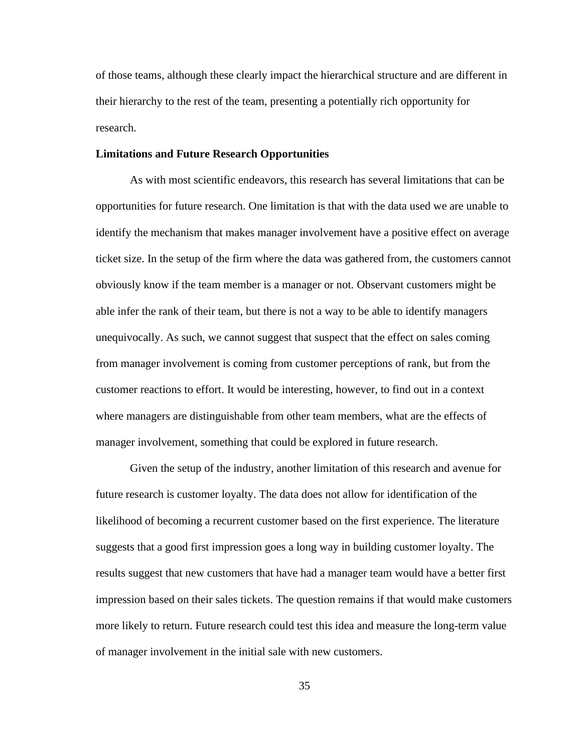of those teams, although these clearly impact the hierarchical structure and are different in their hierarchy to the rest of the team, presenting a potentially rich opportunity for research.

## **Limitations and Future Research Opportunities**

As with most scientific endeavors, this research has several limitations that can be opportunities for future research. One limitation is that with the data used we are unable to identify the mechanism that makes manager involvement have a positive effect on average ticket size. In the setup of the firm where the data was gathered from, the customers cannot obviously know if the team member is a manager or not. Observant customers might be able infer the rank of their team, but there is not a way to be able to identify managers unequivocally. As such, we cannot suggest that suspect that the effect on sales coming from manager involvement is coming from customer perceptions of rank, but from the customer reactions to effort. It would be interesting, however, to find out in a context where managers are distinguishable from other team members, what are the effects of manager involvement, something that could be explored in future research.

Given the setup of the industry, another limitation of this research and avenue for future research is customer loyalty. The data does not allow for identification of the likelihood of becoming a recurrent customer based on the first experience. The literature suggests that a good first impression goes a long way in building customer loyalty. The results suggest that new customers that have had a manager team would have a better first impression based on their sales tickets. The question remains if that would make customers more likely to return. Future research could test this idea and measure the long-term value of manager involvement in the initial sale with new customers.

35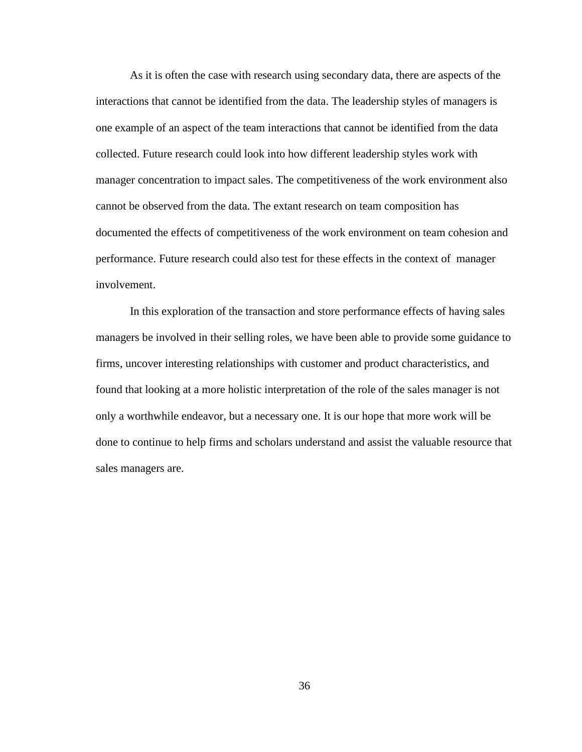As it is often the case with research using secondary data, there are aspects of the interactions that cannot be identified from the data. The leadership styles of managers is one example of an aspect of the team interactions that cannot be identified from the data collected. Future research could look into how different leadership styles work with manager concentration to impact sales. The competitiveness of the work environment also cannot be observed from the data. The extant research on team composition has documented the effects of competitiveness of the work environment on team cohesion and performance. Future research could also test for these effects in the context of manager involvement.

In this exploration of the transaction and store performance effects of having sales managers be involved in their selling roles, we have been able to provide some guidance to firms, uncover interesting relationships with customer and product characteristics, and found that looking at a more holistic interpretation of the role of the sales manager is not only a worthwhile endeavor, but a necessary one. It is our hope that more work will be done to continue to help firms and scholars understand and assist the valuable resource that sales managers are.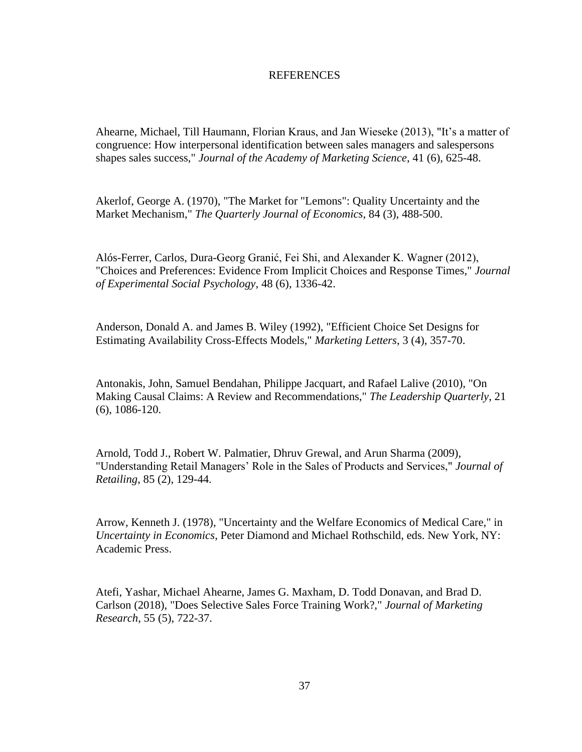### REFERENCES

Ahearne, Michael, Till Haumann, Florian Kraus, and Jan Wieseke (2013), "It's a matter of congruence: How interpersonal identification between sales managers and salespersons shapes sales success," *Journal of the Academy of Marketing Science*, 41 (6), 625-48.

Akerlof, George A. (1970), "The Market for "Lemons": Quality Uncertainty and the Market Mechanism," *The Quarterly Journal of Economics*, 84 (3), 488-500.

Alós-Ferrer, Carlos, Dura-Georg Granić, Fei Shi, and Alexander K. Wagner (2012), "Choices and Preferences: Evidence From Implicit Choices and Response Times," *Journal of Experimental Social Psychology*, 48 (6), 1336-42.

Anderson, Donald A. and James B. Wiley (1992), "Efficient Choice Set Designs for Estimating Availability Cross-Effects Models," *Marketing Letters*, 3 (4), 357-70.

Antonakis, John, Samuel Bendahan, Philippe Jacquart, and Rafael Lalive (2010), "On Making Causal Claims: A Review and Recommendations," *The Leadership Quarterly*, 21 (6), 1086-120.

Arnold, Todd J., Robert W. Palmatier, Dhruv Grewal, and Arun Sharma (2009), "Understanding Retail Managers' Role in the Sales of Products and Services," *Journal of Retailing*, 85 (2), 129-44.

Arrow, Kenneth J. (1978), "Uncertainty and the Welfare Economics of Medical Care," in *Uncertainty in Economics*, Peter Diamond and Michael Rothschild, eds. New York, NY: Academic Press.

Atefi, Yashar, Michael Ahearne, James G. Maxham, D. Todd Donavan, and Brad D. Carlson (2018), "Does Selective Sales Force Training Work?," *Journal of Marketing Research*, 55 (5), 722-37.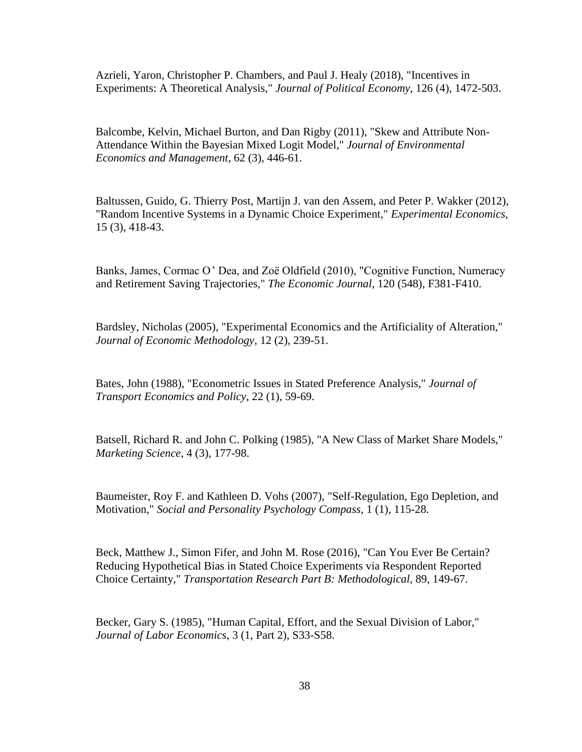Azrieli, Yaron, Christopher P. Chambers, and Paul J. Healy (2018), "Incentives in Experiments: A Theoretical Analysis," *Journal of Political Economy*, 126 (4), 1472-503.

Balcombe, Kelvin, Michael Burton, and Dan Rigby (2011), "Skew and Attribute Non-Attendance Within the Bayesian Mixed Logit Model," *Journal of Environmental Economics and Management*, 62 (3), 446-61.

Baltussen, Guido, G. Thierry Post, Martijn J. van den Assem, and Peter P. Wakker (2012), "Random Incentive Systems in a Dynamic Choice Experiment," *Experimental Economics*, 15 (3), 418-43.

Banks, James, Cormac O<sup>,</sup> Dea, and Zoë Oldfield (2010), "Cognitive Function, Numeracy and Retirement Saving Trajectories," *The Economic Journal*, 120 (548), F381-F410.

Bardsley, Nicholas (2005), "Experimental Economics and the Artificiality of Alteration," *Journal of Economic Methodology*, 12 (2), 239-51.

Bates, John (1988), "Econometric Issues in Stated Preference Analysis," *Journal of Transport Economics and Policy*, 22 (1), 59-69.

Batsell, Richard R. and John C. Polking (1985), "A New Class of Market Share Models," *Marketing Science*, 4 (3), 177-98.

Baumeister, Roy F. and Kathleen D. Vohs (2007), "Self-Regulation, Ego Depletion, and Motivation," *Social and Personality Psychology Compass*, 1 (1), 115-28.

Beck, Matthew J., Simon Fifer, and John M. Rose (2016), "Can You Ever Be Certain? Reducing Hypothetical Bias in Stated Choice Experiments via Respondent Reported Choice Certainty," *Transportation Research Part B: Methodological*, 89, 149-67.

Becker, Gary S. (1985), "Human Capital, Effort, and the Sexual Division of Labor," *Journal of Labor Economics*, 3 (1, Part 2), S33-S58.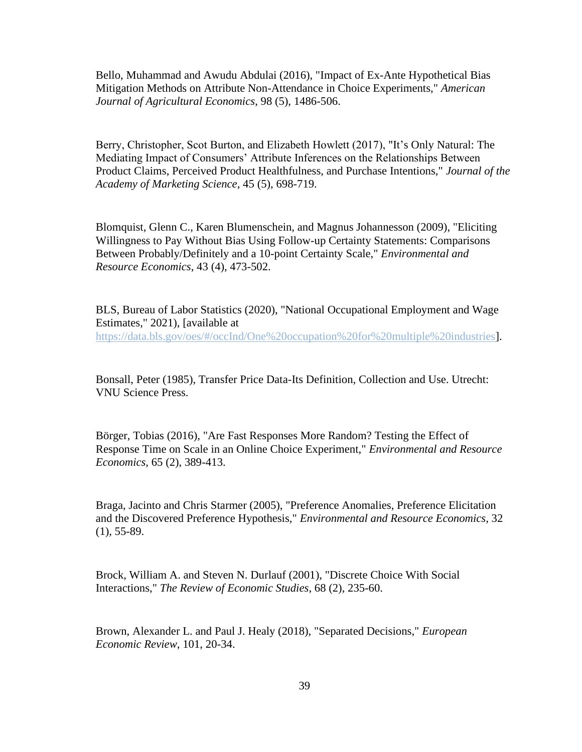Bello, Muhammad and Awudu Abdulai (2016), "Impact of Ex-Ante Hypothetical Bias Mitigation Methods on Attribute Non-Attendance in Choice Experiments," *American Journal of Agricultural Economics*, 98 (5), 1486-506.

Berry, Christopher, Scot Burton, and Elizabeth Howlett (2017), "It's Only Natural: The Mediating Impact of Consumers' Attribute Inferences on the Relationships Between Product Claims, Perceived Product Healthfulness, and Purchase Intentions," *Journal of the Academy of Marketing Science*, 45 (5), 698-719.

Blomquist, Glenn C., Karen Blumenschein, and Magnus Johannesson (2009), "Eliciting Willingness to Pay Without Bias Using Follow-up Certainty Statements: Comparisons Between Probably/Definitely and a 10-point Certainty Scale," *Environmental and Resource Economics*, 43 (4), 473-502.

BLS, Bureau of Labor Statistics (2020), "National Occupational Employment and Wage Estimates," 2021), [available at [https://data.bls.gov/oes/#/occInd/One%20occupation%20for%20multiple%20industries\]](https://data.bls.gov/oes/#/occInd/One%20occupation%20for%20multiple%20industries).

Bonsall, Peter (1985), Transfer Price Data-Its Definition, Collection and Use. Utrecht: VNU Science Press.

Börger, Tobias (2016), "Are Fast Responses More Random? Testing the Effect of Response Time on Scale in an Online Choice Experiment," *Environmental and Resource Economics*, 65 (2), 389-413.

Braga, Jacinto and Chris Starmer (2005), "Preference Anomalies, Preference Elicitation and the Discovered Preference Hypothesis," *Environmental and Resource Economics*, 32  $(1), 55-89.$ 

Brock, William A. and Steven N. Durlauf (2001), "Discrete Choice With Social Interactions," *The Review of Economic Studies*, 68 (2), 235-60.

Brown, Alexander L. and Paul J. Healy (2018), "Separated Decisions," *European Economic Review*, 101, 20-34.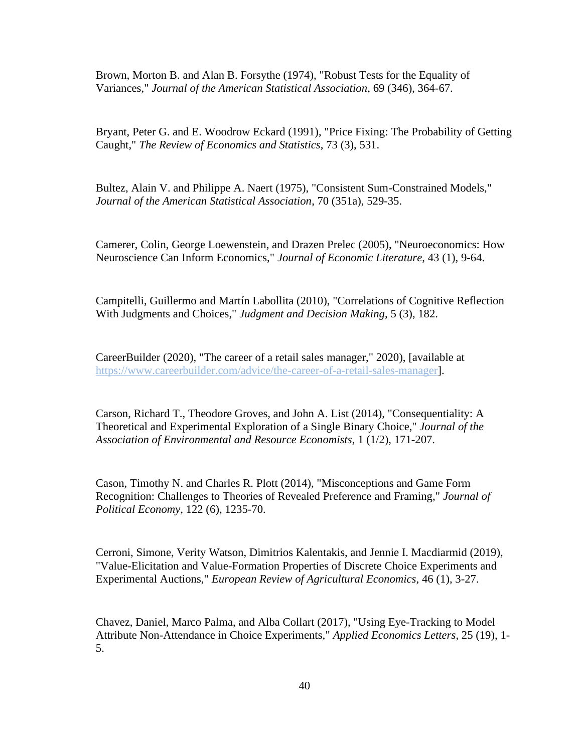Brown, Morton B. and Alan B. Forsythe (1974), "Robust Tests for the Equality of Variances," *Journal of the American Statistical Association*, 69 (346), 364-67.

Bryant, Peter G. and E. Woodrow Eckard (1991), "Price Fixing: The Probability of Getting Caught," *The Review of Economics and Statistics*, 73 (3), 531.

Bultez, Alain V. and Philippe A. Naert (1975), "Consistent Sum-Constrained Models," *Journal of the American Statistical Association*, 70 (351a), 529-35.

Camerer, Colin, George Loewenstein, and Drazen Prelec (2005), "Neuroeconomics: How Neuroscience Can Inform Economics," *Journal of Economic Literature*, 43 (1), 9-64.

Campitelli, Guillermo and Martín Labollita (2010), "Correlations of Cognitive Reflection With Judgments and Choices," *Judgment and Decision Making*, 5 (3), 182.

CareerBuilder (2020), "The career of a retail sales manager," 2020), [available at [https://www.careerbuilder.com/advice/the-career-of-a-retail-sales-manager\]](https://www.careerbuilder.com/advice/the-career-of-a-retail-sales-manager).

Carson, Richard T., Theodore Groves, and John A. List (2014), "Consequentiality: A Theoretical and Experimental Exploration of a Single Binary Choice," *Journal of the Association of Environmental and Resource Economists*, 1 (1/2), 171-207.

Cason, Timothy N. and Charles R. Plott (2014), "Misconceptions and Game Form Recognition: Challenges to Theories of Revealed Preference and Framing," *Journal of Political Economy*, 122 (6), 1235-70.

Cerroni, Simone, Verity Watson, Dimitrios Kalentakis, and Jennie I. Macdiarmid (2019), "Value-Elicitation and Value-Formation Properties of Discrete Choice Experiments and Experimental Auctions," *European Review of Agricultural Economics*, 46 (1), 3-27.

Chavez, Daniel, Marco Palma, and Alba Collart (2017), "Using Eye-Tracking to Model Attribute Non-Attendance in Choice Experiments," *Applied Economics Letters*, 25 (19), 1- 5.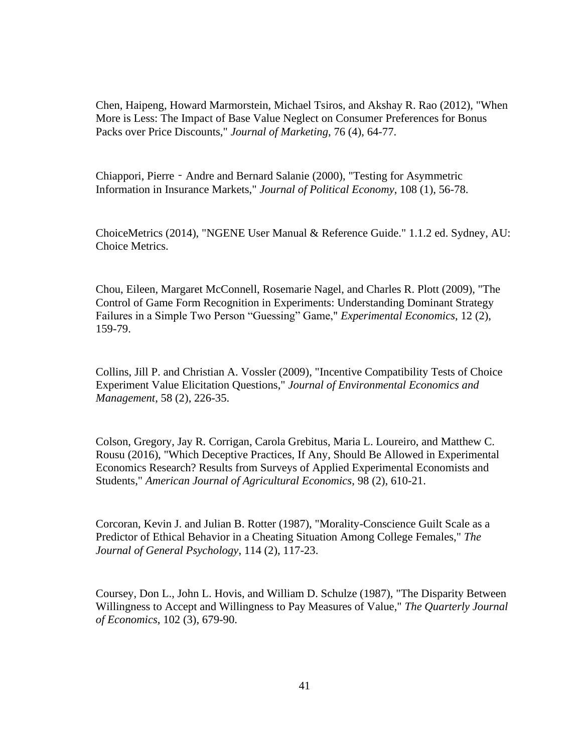Chen, Haipeng, Howard Marmorstein, Michael Tsiros, and Akshay R. Rao (2012), "When More is Less: The Impact of Base Value Neglect on Consumer Preferences for Bonus Packs over Price Discounts," *Journal of Marketing*, 76 (4), 64-77.

Chiappori, Pierre‐Andre and Bernard Salanie (2000), "Testing for Asymmetric Information in Insurance Markets," *Journal of Political Economy*, 108 (1), 56-78.

ChoiceMetrics (2014), "NGENE User Manual & Reference Guide." 1.1.2 ed. Sydney, AU: Choice Metrics.

Chou, Eileen, Margaret McConnell, Rosemarie Nagel, and Charles R. Plott (2009), "The Control of Game Form Recognition in Experiments: Understanding Dominant Strategy Failures in a Simple Two Person "Guessing" Game," *Experimental Economics*, 12 (2), 159-79.

Collins, Jill P. and Christian A. Vossler (2009), "Incentive Compatibility Tests of Choice Experiment Value Elicitation Questions," *Journal of Environmental Economics and Management*, 58 (2), 226-35.

Colson, Gregory, Jay R. Corrigan, Carola Grebitus, Maria L. Loureiro, and Matthew C. Rousu (2016), "Which Deceptive Practices, If Any, Should Be Allowed in Experimental Economics Research? Results from Surveys of Applied Experimental Economists and Students," *American Journal of Agricultural Economics*, 98 (2), 610-21.

Corcoran, Kevin J. and Julian B. Rotter (1987), "Morality-Conscience Guilt Scale as a Predictor of Ethical Behavior in a Cheating Situation Among College Females," *The Journal of General Psychology*, 114 (2), 117-23.

Coursey, Don L., John L. Hovis, and William D. Schulze (1987), "The Disparity Between Willingness to Accept and Willingness to Pay Measures of Value," *The Quarterly Journal of Economics*, 102 (3), 679-90.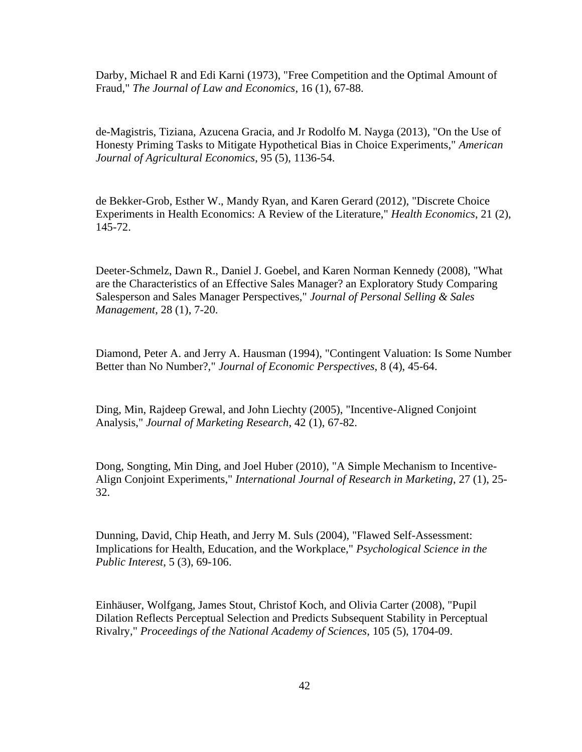Darby, Michael R and Edi Karni (1973), "Free Competition and the Optimal Amount of Fraud," *The Journal of Law and Economics*, 16 (1), 67-88.

de-Magistris, Tiziana, Azucena Gracia, and Jr Rodolfo M. Nayga (2013), "On the Use of Honesty Priming Tasks to Mitigate Hypothetical Bias in Choice Experiments," *American Journal of Agricultural Economics*, 95 (5), 1136-54.

de Bekker-Grob, Esther W., Mandy Ryan, and Karen Gerard (2012), "Discrete Choice Experiments in Health Economics: A Review of the Literature," *Health Economics*, 21 (2), 145-72.

Deeter-Schmelz, Dawn R., Daniel J. Goebel, and Karen Norman Kennedy (2008), "What are the Characteristics of an Effective Sales Manager? an Exploratory Study Comparing Salesperson and Sales Manager Perspectives," *Journal of Personal Selling & Sales Management*, 28 (1), 7-20.

Diamond, Peter A. and Jerry A. Hausman (1994), "Contingent Valuation: Is Some Number Better than No Number?," *Journal of Economic Perspectives*, 8 (4), 45-64.

Ding, Min, Rajdeep Grewal, and John Liechty (2005), "Incentive-Aligned Conjoint Analysis," *Journal of Marketing Research*, 42 (1), 67-82.

Dong, Songting, Min Ding, and Joel Huber (2010), "A Simple Mechanism to Incentive-Align Conjoint Experiments," *International Journal of Research in Marketing*, 27 (1), 25- 32.

Dunning, David, Chip Heath, and Jerry M. Suls (2004), "Flawed Self-Assessment: Implications for Health, Education, and the Workplace," *Psychological Science in the Public Interest*, 5 (3), 69-106.

Einhäuser, Wolfgang, James Stout, Christof Koch, and Olivia Carter (2008), "Pupil Dilation Reflects Perceptual Selection and Predicts Subsequent Stability in Perceptual Rivalry," *Proceedings of the National Academy of Sciences*, 105 (5), 1704-09.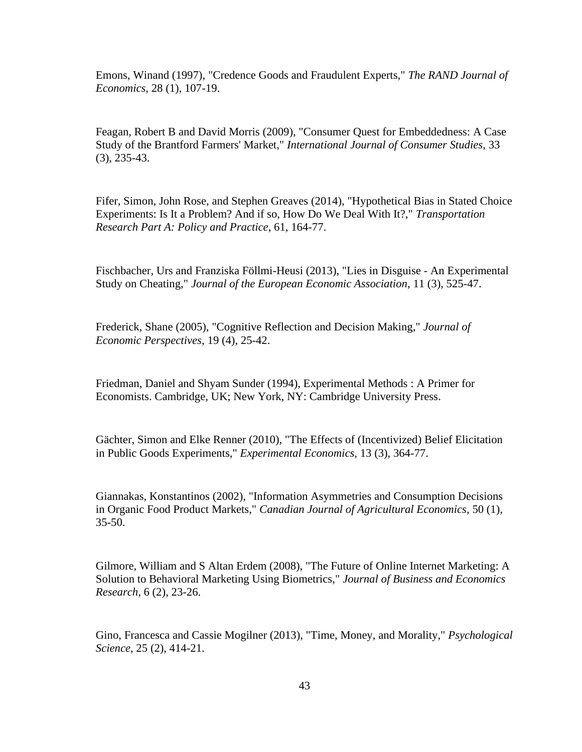Emons, Winand (1997), "Credence Goods and Fraudulent Experts," *The RAND Journal of Economics*, 28 (1), 107-19.

Feagan, Robert B and David Morris (2009), "Consumer Quest for Embeddedness: A Case Study of the Brantford Farmers' Market," *International Journal of Consumer Studies*, 33 (3), 235-43.

Fifer, Simon, John Rose, and Stephen Greaves (2014), "Hypothetical Bias in Stated Choice Experiments: Is It a Problem? And if so, How Do We Deal With It?," *Transportation Research Part A: Policy and Practice*, 61, 164-77.

Fischbacher, Urs and Franziska Föllmi-Heusi (2013), "Lies in Disguise - An Experimental Study on Cheating," *Journal of the European Economic Association*, 11 (3), 525-47.

Frederick, Shane (2005), "Cognitive Reflection and Decision Making," *Journal of Economic Perspectives*, 19 (4), 25-42.

Friedman, Daniel and Shyam Sunder (1994), Experimental Methods : A Primer for Economists. Cambridge, UK; New York, NY: Cambridge University Press.

Gächter, Simon and Elke Renner (2010), "The Effects of (Incentivized) Belief Elicitation in Public Goods Experiments," *Experimental Economics*, 13 (3), 364-77.

Giannakas, Konstantinos (2002), "Information Asymmetries and Consumption Decisions in Organic Food Product Markets," *Canadian Journal of Agricultural Economics*, 50 (1), 35-50.

Gilmore, William and S Altan Erdem (2008), "The Future of Online Internet Marketing: A Solution to Behavioral Marketing Using Biometrics," *Journal of Business and Economics Research*, 6 (2), 23-26.

Gino, Francesca and Cassie Mogilner (2013), "Time, Money, and Morality," *Psychological Science*, 25 (2), 414-21.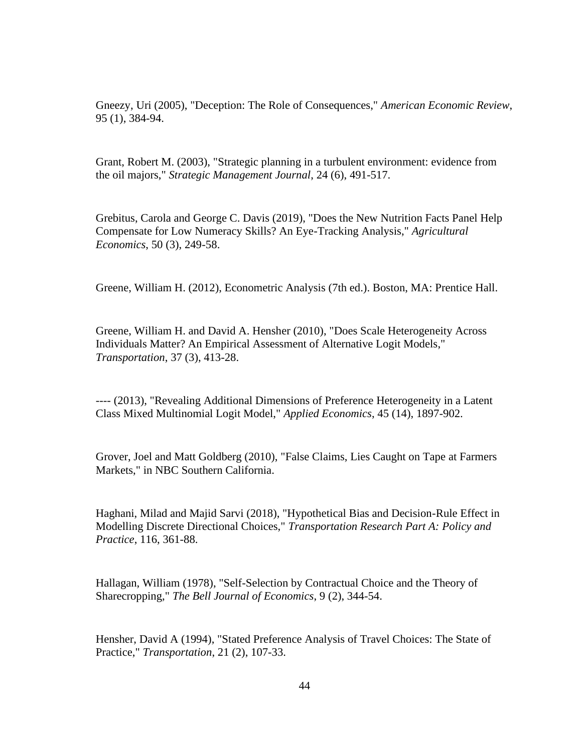Gneezy, Uri (2005), "Deception: The Role of Consequences," *American Economic Review*, 95 (1), 384-94.

Grant, Robert M. (2003), "Strategic planning in a turbulent environment: evidence from the oil majors," *Strategic Management Journal*, 24 (6), 491-517.

Grebitus, Carola and George C. Davis (2019), "Does the New Nutrition Facts Panel Help Compensate for Low Numeracy Skills? An Eye-Tracking Analysis," *Agricultural Economics*, 50 (3), 249-58.

Greene, William H. (2012), Econometric Analysis (7th ed.). Boston, MA: Prentice Hall.

Greene, William H. and David A. Hensher (2010), "Does Scale Heterogeneity Across Individuals Matter? An Empirical Assessment of Alternative Logit Models," *Transportation*, 37 (3), 413-28.

---- (2013), "Revealing Additional Dimensions of Preference Heterogeneity in a Latent Class Mixed Multinomial Logit Model," *Applied Economics*, 45 (14), 1897-902.

Grover, Joel and Matt Goldberg (2010), "False Claims, Lies Caught on Tape at Farmers Markets," in NBC Southern California.

Haghani, Milad and Majid Sarvi (2018), "Hypothetical Bias and Decision-Rule Effect in Modelling Discrete Directional Choices," *Transportation Research Part A: Policy and Practice*, 116, 361-88.

Hallagan, William (1978), "Self-Selection by Contractual Choice and the Theory of Sharecropping," *The Bell Journal of Economics*, 9 (2), 344-54.

Hensher, David A (1994), "Stated Preference Analysis of Travel Choices: The State of Practice," *Transportation*, 21 (2), 107-33.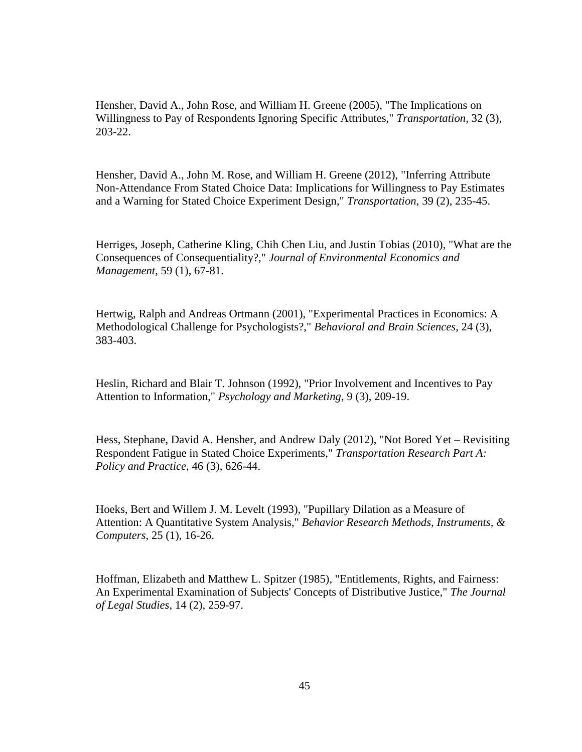Hensher, David A., John Rose, and William H. Greene (2005), "The Implications on Willingness to Pay of Respondents Ignoring Specific Attributes," *Transportation*, 32 (3), 203-22.

Hensher, David A., John M. Rose, and William H. Greene (2012), "Inferring Attribute Non-Attendance From Stated Choice Data: Implications for Willingness to Pay Estimates and a Warning for Stated Choice Experiment Design," *Transportation*, 39 (2), 235-45.

Herriges, Joseph, Catherine Kling, Chih Chen Liu, and Justin Tobias (2010), "What are the Consequences of Consequentiality?," *Journal of Environmental Economics and Management*, 59 (1), 67-81.

Hertwig, Ralph and Andreas Ortmann (2001), "Experimental Practices in Economics: A Methodological Challenge for Psychologists?," *Behavioral and Brain Sciences*, 24 (3), 383-403.

Heslin, Richard and Blair T. Johnson (1992), "Prior Involvement and Incentives to Pay Attention to Information," *Psychology and Marketing*, 9 (3), 209-19.

Hess, Stephane, David A. Hensher, and Andrew Daly (2012), "Not Bored Yet – Revisiting Respondent Fatigue in Stated Choice Experiments," *Transportation Research Part A: Policy and Practice*, 46 (3), 626-44.

Hoeks, Bert and Willem J. M. Levelt (1993), "Pupillary Dilation as a Measure of Attention: A Quantitative System Analysis," *Behavior Research Methods, Instruments, & Computers*, 25 (1), 16-26.

Hoffman, Elizabeth and Matthew L. Spitzer (1985), "Entitlements, Rights, and Fairness: An Experimental Examination of Subjects' Concepts of Distributive Justice," *The Journal of Legal Studies*, 14 (2), 259-97.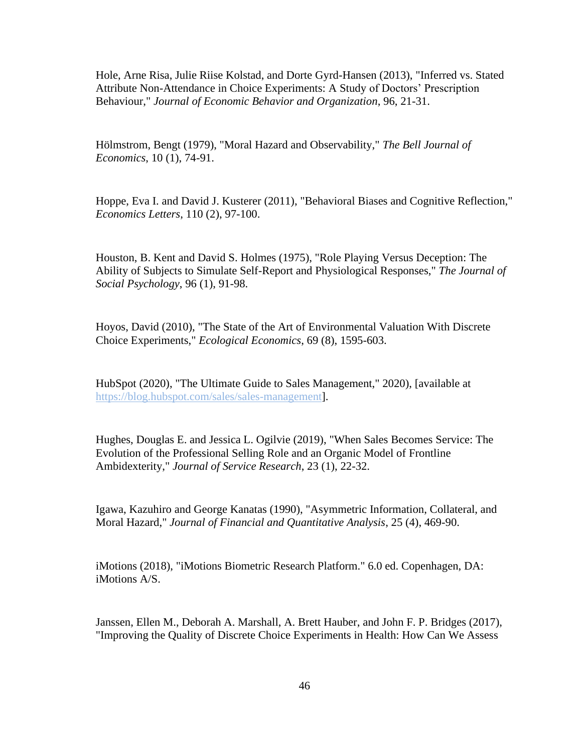Hole, Arne Risa, Julie Riise Kolstad, and Dorte Gyrd-Hansen (2013), "Inferred vs. Stated Attribute Non-Attendance in Choice Experiments: A Study of Doctors' Prescription Behaviour," *Journal of Economic Behavior and Organization*, 96, 21-31.

Hölmstrom, Bengt (1979), "Moral Hazard and Observability," *The Bell Journal of Economics*, 10 (1), 74-91.

Hoppe, Eva I. and David J. Kusterer (2011), "Behavioral Biases and Cognitive Reflection," *Economics Letters*, 110 (2), 97-100.

Houston, B. Kent and David S. Holmes (1975), "Role Playing Versus Deception: The Ability of Subjects to Simulate Self-Report and Physiological Responses," *The Journal of Social Psychology*, 96 (1), 91-98.

Hoyos, David (2010), "The State of the Art of Environmental Valuation With Discrete Choice Experiments," *Ecological Economics*, 69 (8), 1595-603.

HubSpot (2020), "The Ultimate Guide to Sales Management," 2020), [available at [https://blog.hubspot.com/sales/sales-management\]](https://blog.hubspot.com/sales/sales-management).

Hughes, Douglas E. and Jessica L. Ogilvie (2019), "When Sales Becomes Service: The Evolution of the Professional Selling Role and an Organic Model of Frontline Ambidexterity," *Journal of Service Research*, 23 (1), 22-32.

Igawa, Kazuhiro and George Kanatas (1990), "Asymmetric Information, Collateral, and Moral Hazard," *Journal of Financial and Quantitative Analysis*, 25 (4), 469-90.

iMotions (2018), "iMotions Biometric Research Platform." 6.0 ed. Copenhagen, DA: iMotions A/S.

Janssen, Ellen M., Deborah A. Marshall, A. Brett Hauber, and John F. P. Bridges (2017), "Improving the Quality of Discrete Choice Experiments in Health: How Can We Assess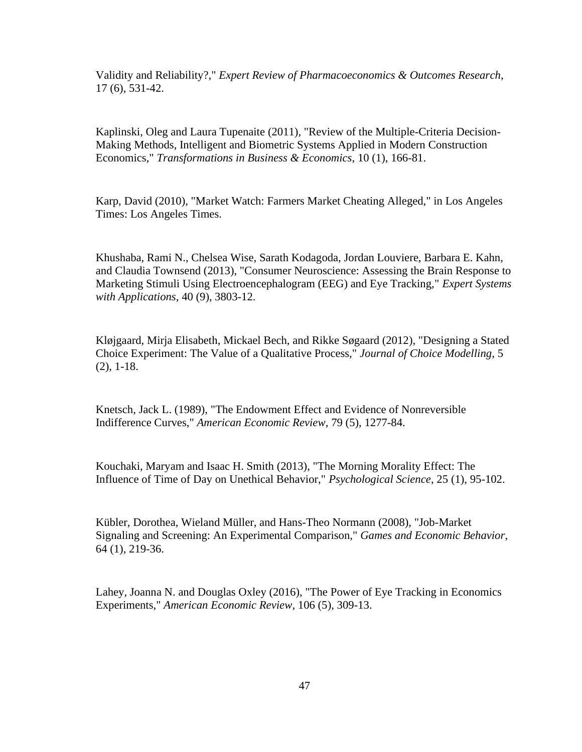Validity and Reliability?," *Expert Review of Pharmacoeconomics & Outcomes Research*, 17 (6), 531-42.

Kaplinski, Oleg and Laura Tupenaite (2011), "Review of the Multiple-Criteria Decision-Making Methods, Intelligent and Biometric Systems Applied in Modern Construction Economics," *Transformations in Business & Economics*, 10 (1), 166-81.

Karp, David (2010), "Market Watch: Farmers Market Cheating Alleged," in Los Angeles Times: Los Angeles Times.

Khushaba, Rami N., Chelsea Wise, Sarath Kodagoda, Jordan Louviere, Barbara E. Kahn, and Claudia Townsend (2013), "Consumer Neuroscience: Assessing the Brain Response to Marketing Stimuli Using Electroencephalogram (EEG) and Eye Tracking," *Expert Systems with Applications*, 40 (9), 3803-12.

Kløjgaard, Mirja Elisabeth, Mickael Bech, and Rikke Søgaard (2012), "Designing a Stated Choice Experiment: The Value of a Qualitative Process," *Journal of Choice Modelling*, 5 (2), 1-18.

Knetsch, Jack L. (1989), "The Endowment Effect and Evidence of Nonreversible Indifference Curves," *American Economic Review*, 79 (5), 1277-84.

Kouchaki, Maryam and Isaac H. Smith (2013), "The Morning Morality Effect: The Influence of Time of Day on Unethical Behavior," *Psychological Science*, 25 (1), 95-102.

Kübler, Dorothea, Wieland Müller, and Hans-Theo Normann (2008), "Job-Market Signaling and Screening: An Experimental Comparison," *Games and Economic Behavior*, 64 (1), 219-36.

Lahey, Joanna N. and Douglas Oxley (2016), "The Power of Eye Tracking in Economics Experiments," *American Economic Review*, 106 (5), 309-13.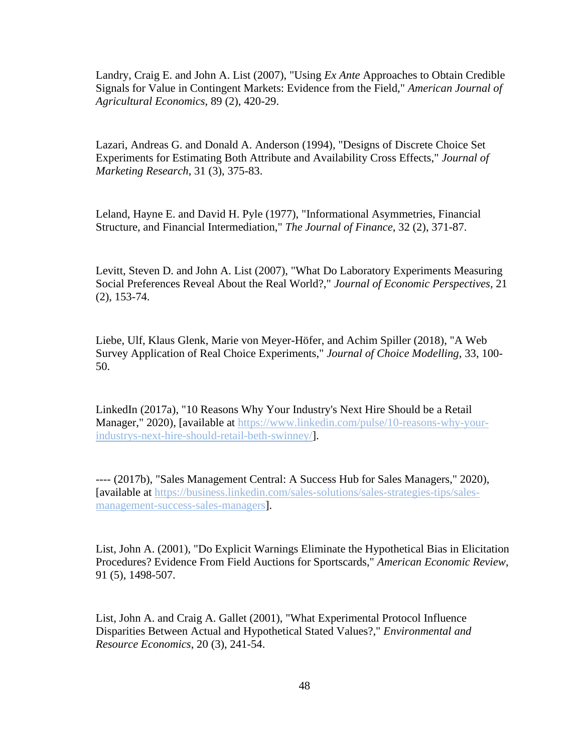Landry, Craig E. and John A. List (2007), "Using *Ex Ante* Approaches to Obtain Credible Signals for Value in Contingent Markets: Evidence from the Field," *American Journal of Agricultural Economics*, 89 (2), 420-29.

Lazari, Andreas G. and Donald A. Anderson (1994), "Designs of Discrete Choice Set Experiments for Estimating Both Attribute and Availability Cross Effects," *Journal of Marketing Research*, 31 (3), 375-83.

Leland, Hayne E. and David H. Pyle (1977), "Informational Asymmetries, Financial Structure, and Financial Intermediation," *The Journal of Finance*, 32 (2), 371-87.

Levitt, Steven D. and John A. List (2007), "What Do Laboratory Experiments Measuring Social Preferences Reveal About the Real World?," *Journal of Economic Perspectives*, 21 (2), 153-74.

Liebe, Ulf, Klaus Glenk, Marie von Meyer-Höfer, and Achim Spiller (2018), "A Web Survey Application of Real Choice Experiments," *Journal of Choice Modelling*, 33, 100- 50.

LinkedIn (2017a), "10 Reasons Why Your Industry's Next Hire Should be a Retail Manager," 2020), [available at [https://www.linkedin.com/pulse/10-reasons-why-your](https://www.linkedin.com/pulse/10-reasons-why-your-industrys-next-hire-should-retail-beth-swinney/)[industrys-next-hire-should-retail-beth-swinney/\]](https://www.linkedin.com/pulse/10-reasons-why-your-industrys-next-hire-should-retail-beth-swinney/).

---- (2017b), "Sales Management Central: A Success Hub for Sales Managers," 2020), [available at [https://business.linkedin.com/sales-solutions/sales-strategies-tips/sales](https://business.linkedin.com/sales-solutions/sales-strategies-tips/sales-management-success-sales-managers)[management-success-sales-managers\]](https://business.linkedin.com/sales-solutions/sales-strategies-tips/sales-management-success-sales-managers).

List, John A. (2001), "Do Explicit Warnings Eliminate the Hypothetical Bias in Elicitation Procedures? Evidence From Field Auctions for Sportscards," *American Economic Review*, 91 (5), 1498-507.

List, John A. and Craig A. Gallet (2001), "What Experimental Protocol Influence Disparities Between Actual and Hypothetical Stated Values?," *Environmental and Resource Economics*, 20 (3), 241-54.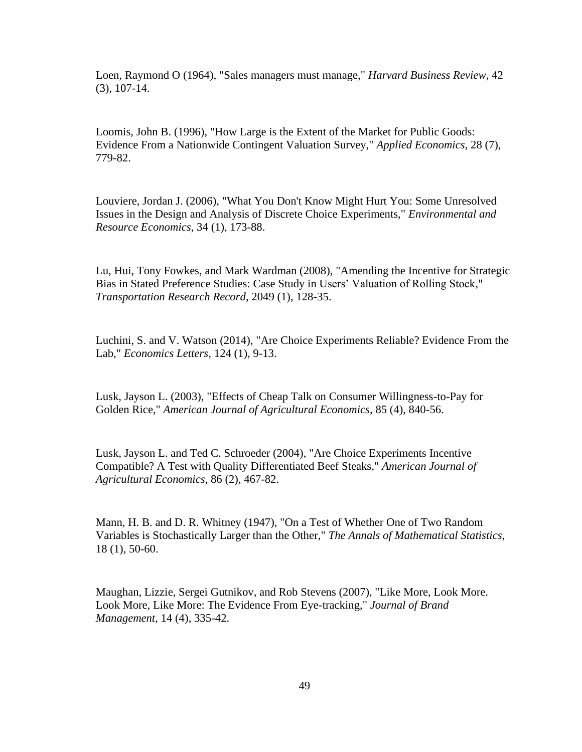Loen, Raymond O (1964), "Sales managers must manage," *Harvard Business Review*, 42 (3), 107-14.

Loomis, John B. (1996), "How Large is the Extent of the Market for Public Goods: Evidence From a Nationwide Contingent Valuation Survey," *Applied Economics*, 28 (7), 779-82.

Louviere, Jordan J. (2006), "What You Don't Know Might Hurt You: Some Unresolved Issues in the Design and Analysis of Discrete Choice Experiments," *Environmental and Resource Economics*, 34 (1), 173-88.

Lu, Hui, Tony Fowkes, and Mark Wardman (2008), "Amending the Incentive for Strategic Bias in Stated Preference Studies: Case Study in Users' Valuation of Rolling Stock," *Transportation Research Record*, 2049 (1), 128-35.

Luchini, S. and V. Watson (2014), "Are Choice Experiments Reliable? Evidence From the Lab," *Economics Letters*, 124 (1), 9-13.

Lusk, Jayson L. (2003), "Effects of Cheap Talk on Consumer Willingness-to-Pay for Golden Rice," *American Journal of Agricultural Economics*, 85 (4), 840-56.

Lusk, Jayson L. and Ted C. Schroeder (2004), "Are Choice Experiments Incentive Compatible? A Test with Quality Differentiated Beef Steaks," *American Journal of Agricultural Economics*, 86 (2), 467-82.

Mann, H. B. and D. R. Whitney (1947), "On a Test of Whether One of Two Random Variables is Stochastically Larger than the Other," *The Annals of Mathematical Statistics*, 18 (1), 50-60.

Maughan, Lizzie, Sergei Gutnikov, and Rob Stevens (2007), "Like More, Look More. Look More, Like More: The Evidence From Eye-tracking," *Journal of Brand Management*, 14 (4), 335-42.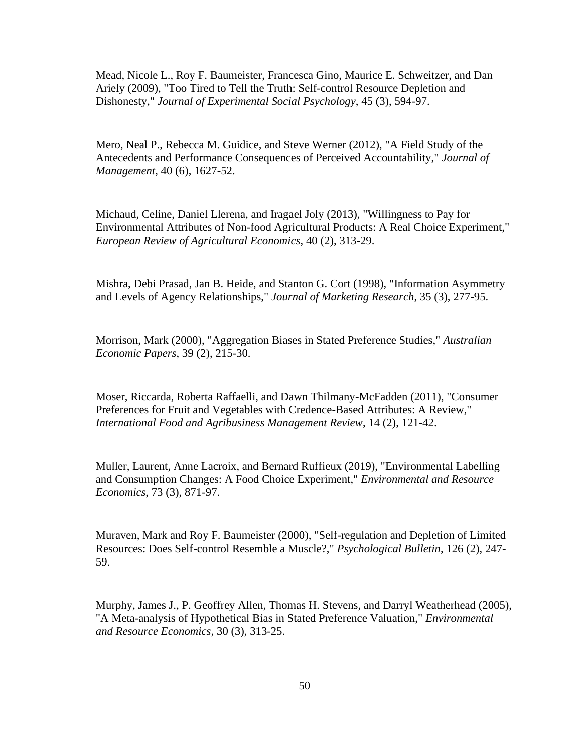Mead, Nicole L., Roy F. Baumeister, Francesca Gino, Maurice E. Schweitzer, and Dan Ariely (2009), "Too Tired to Tell the Truth: Self-control Resource Depletion and Dishonesty," *Journal of Experimental Social Psychology*, 45 (3), 594-97.

Mero, Neal P., Rebecca M. Guidice, and Steve Werner (2012), "A Field Study of the Antecedents and Performance Consequences of Perceived Accountability," *Journal of Management*, 40 (6), 1627-52.

Michaud, Celine, Daniel Llerena, and Iragael Joly (2013), "Willingness to Pay for Environmental Attributes of Non-food Agricultural Products: A Real Choice Experiment," *European Review of Agricultural Economics*, 40 (2), 313-29.

Mishra, Debi Prasad, Jan B. Heide, and Stanton G. Cort (1998), "Information Asymmetry and Levels of Agency Relationships," *Journal of Marketing Research*, 35 (3), 277-95.

Morrison, Mark (2000), "Aggregation Biases in Stated Preference Studies," *Australian Economic Papers*, 39 (2), 215-30.

Moser, Riccarda, Roberta Raffaelli, and Dawn Thilmany-McFadden (2011), "Consumer Preferences for Fruit and Vegetables with Credence-Based Attributes: A Review," *International Food and Agribusiness Management Review*, 14 (2), 121-42.

Muller, Laurent, Anne Lacroix, and Bernard Ruffieux (2019), "Environmental Labelling and Consumption Changes: A Food Choice Experiment," *Environmental and Resource Economics*, 73 (3), 871-97.

Muraven, Mark and Roy F. Baumeister (2000), "Self-regulation and Depletion of Limited Resources: Does Self-control Resemble a Muscle?," *Psychological Bulletin*, 126 (2), 247- 59.

Murphy, James J., P. Geoffrey Allen, Thomas H. Stevens, and Darryl Weatherhead (2005), "A Meta-analysis of Hypothetical Bias in Stated Preference Valuation," *Environmental and Resource Economics*, 30 (3), 313-25.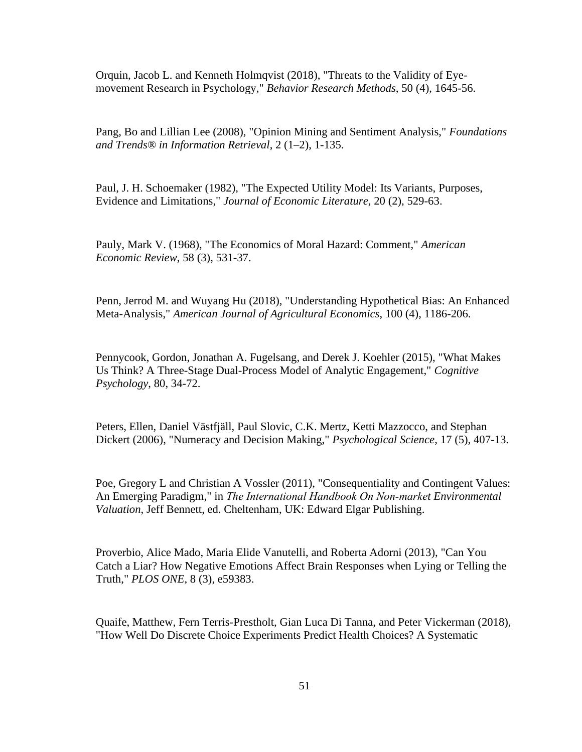Orquin, Jacob L. and Kenneth Holmqvist (2018), "Threats to the Validity of Eyemovement Research in Psychology," *Behavior Research Methods*, 50 (4), 1645-56.

Pang, Bo and Lillian Lee (2008), "Opinion Mining and Sentiment Analysis," *Foundations and Trends® in Information Retrieval*, 2 (1–2), 1-135.

Paul, J. H. Schoemaker (1982), "The Expected Utility Model: Its Variants, Purposes, Evidence and Limitations," *Journal of Economic Literature*, 20 (2), 529-63.

Pauly, Mark V. (1968), "The Economics of Moral Hazard: Comment," *American Economic Review*, 58 (3), 531-37.

Penn, Jerrod M. and Wuyang Hu (2018), "Understanding Hypothetical Bias: An Enhanced Meta-Analysis," *American Journal of Agricultural Economics*, 100 (4), 1186-206.

Pennycook, Gordon, Jonathan A. Fugelsang, and Derek J. Koehler (2015), "What Makes Us Think? A Three-Stage Dual-Process Model of Analytic Engagement," *Cognitive Psychology*, 80, 34-72.

Peters, Ellen, Daniel Västfjäll, Paul Slovic, C.K. Mertz, Ketti Mazzocco, and Stephan Dickert (2006), "Numeracy and Decision Making," *Psychological Science*, 17 (5), 407-13.

Poe, Gregory L and Christian A Vossler (2011), "Consequentiality and Contingent Values: An Emerging Paradigm," in *The International Handbook On Non‑market Environmental Valuation*, Jeff Bennett, ed. Cheltenham, UK: Edward Elgar Publishing.

Proverbio, Alice Mado, Maria Elide Vanutelli, and Roberta Adorni (2013), "Can You Catch a Liar? How Negative Emotions Affect Brain Responses when Lying or Telling the Truth," *PLOS ONE*, 8 (3), e59383.

Quaife, Matthew, Fern Terris-Prestholt, Gian Luca Di Tanna, and Peter Vickerman (2018), "How Well Do Discrete Choice Experiments Predict Health Choices? A Systematic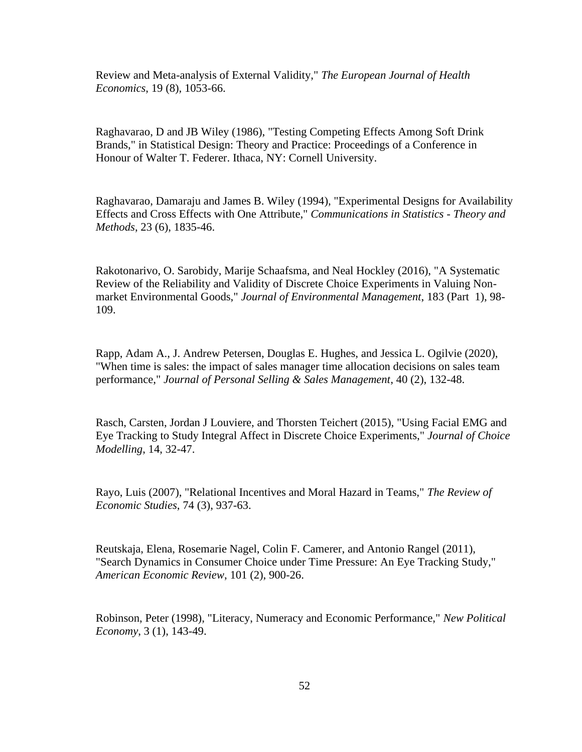Review and Meta-analysis of External Validity," *The European Journal of Health Economics*, 19 (8), 1053-66.

Raghavarao, D and JB Wiley (1986), "Testing Competing Effects Among Soft Drink Brands," in Statistical Design: Theory and Practice: Proceedings of a Conference in Honour of Walter T. Federer. Ithaca, NY: Cornell University.

Raghavarao, Damaraju and James B. Wiley (1994), "Experimental Designs for Availability Effects and Cross Effects with One Attribute," *Communications in Statistics - Theory and Methods*, 23 (6), 1835-46.

Rakotonarivo, O. Sarobidy, Marije Schaafsma, and Neal Hockley (2016), "A Systematic Review of the Reliability and Validity of Discrete Choice Experiments in Valuing Nonmarket Environmental Goods," *Journal of Environmental Management*, 183 (Part 1), 98- 109.

Rapp, Adam A., J. Andrew Petersen, Douglas E. Hughes, and Jessica L. Ogilvie (2020), "When time is sales: the impact of sales manager time allocation decisions on sales team performance," *Journal of Personal Selling & Sales Management*, 40 (2), 132-48.

Rasch, Carsten, Jordan J Louviere, and Thorsten Teichert (2015), "Using Facial EMG and Eye Tracking to Study Integral Affect in Discrete Choice Experiments," *Journal of Choice Modelling*, 14, 32-47.

Rayo, Luis (2007), "Relational Incentives and Moral Hazard in Teams," *The Review of Economic Studies*, 74 (3), 937-63.

Reutskaja, Elena, Rosemarie Nagel, Colin F. Camerer, and Antonio Rangel (2011), "Search Dynamics in Consumer Choice under Time Pressure: An Eye Tracking Study," *American Economic Review*, 101 (2), 900-26.

Robinson, Peter (1998), "Literacy, Numeracy and Economic Performance," *New Political Economy*, 3 (1), 143-49.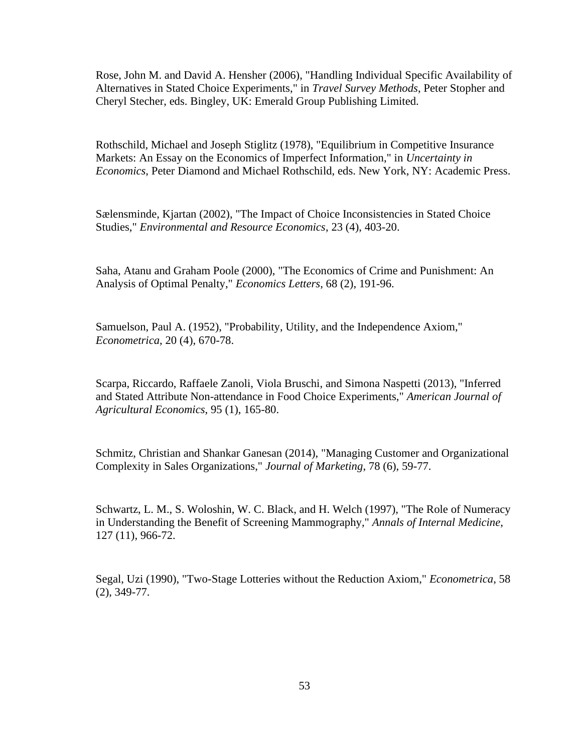Rose, John M. and David A. Hensher (2006), "Handling Individual Specific Availability of Alternatives in Stated Choice Experiments," in *Travel Survey Methods*, Peter Stopher and Cheryl Stecher, eds. Bingley, UK: Emerald Group Publishing Limited.

Rothschild, Michael and Joseph Stiglitz (1978), "Equilibrium in Competitive Insurance Markets: An Essay on the Economics of Imperfect Information," in *Uncertainty in Economics*, Peter Diamond and Michael Rothschild, eds. New York, NY: Academic Press.

Sælensminde, Kjartan (2002), "The Impact of Choice Inconsistencies in Stated Choice Studies," *Environmental and Resource Economics*, 23 (4), 403-20.

Saha, Atanu and Graham Poole (2000), "The Economics of Crime and Punishment: An Analysis of Optimal Penalty," *Economics Letters*, 68 (2), 191-96.

Samuelson, Paul A. (1952), "Probability, Utility, and the Independence Axiom," *Econometrica*, 20 (4), 670-78.

Scarpa, Riccardo, Raffaele Zanoli, Viola Bruschi, and Simona Naspetti (2013), "Inferred and Stated Attribute Non-attendance in Food Choice Experiments," *American Journal of Agricultural Economics*, 95 (1), 165-80.

Schmitz, Christian and Shankar Ganesan (2014), "Managing Customer and Organizational Complexity in Sales Organizations," *Journal of Marketing*, 78 (6), 59-77.

Schwartz, L. M., S. Woloshin, W. C. Black, and H. Welch (1997), "The Role of Numeracy in Understanding the Benefit of Screening Mammography," *Annals of Internal Medicine*, 127 (11), 966-72.

Segal, Uzi (1990), "Two-Stage Lotteries without the Reduction Axiom," *Econometrica*, 58 (2), 349-77.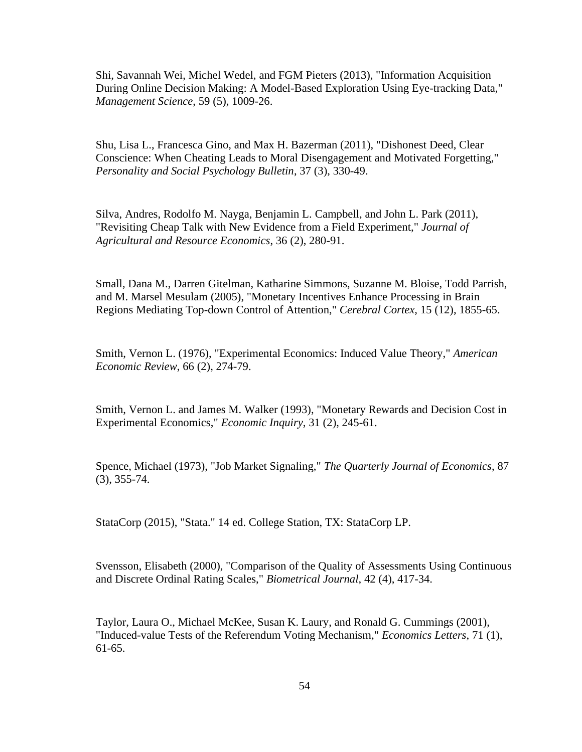Shi, Savannah Wei, Michel Wedel, and FGM Pieters (2013), "Information Acquisition During Online Decision Making: A Model-Based Exploration Using Eye-tracking Data," *Management Science*, 59 (5), 1009-26.

Shu, Lisa L., Francesca Gino, and Max H. Bazerman (2011), "Dishonest Deed, Clear Conscience: When Cheating Leads to Moral Disengagement and Motivated Forgetting," *Personality and Social Psychology Bulletin*, 37 (3), 330-49.

Silva, Andres, Rodolfo M. Nayga, Benjamin L. Campbell, and John L. Park (2011), "Revisiting Cheap Talk with New Evidence from a Field Experiment," *Journal of Agricultural and Resource Economics*, 36 (2), 280-91.

Small, Dana M., Darren Gitelman, Katharine Simmons, Suzanne M. Bloise, Todd Parrish, and M. Marsel Mesulam (2005), "Monetary Incentives Enhance Processing in Brain Regions Mediating Top-down Control of Attention," *Cerebral Cortex*, 15 (12), 1855-65.

Smith, Vernon L. (1976), "Experimental Economics: Induced Value Theory," *American Economic Review*, 66 (2), 274-79.

Smith, Vernon L. and James M. Walker (1993), "Monetary Rewards and Decision Cost in Experimental Economics," *Economic Inquiry*, 31 (2), 245-61.

Spence, Michael (1973), "Job Market Signaling," *The Quarterly Journal of Economics*, 87 (3), 355-74.

StataCorp (2015), "Stata." 14 ed. College Station, TX: StataCorp LP.

Svensson, Elisabeth (2000), "Comparison of the Quality of Assessments Using Continuous and Discrete Ordinal Rating Scales," *Biometrical Journal*, 42 (4), 417-34.

Taylor, Laura O., Michael McKee, Susan K. Laury, and Ronald G. Cummings (2001), "Induced-value Tests of the Referendum Voting Mechanism," *Economics Letters*, 71 (1), 61-65.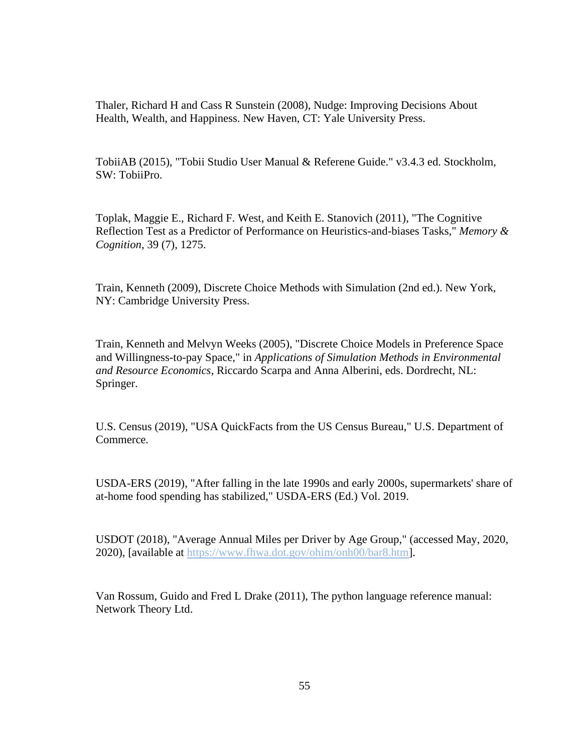Thaler, Richard H and Cass R Sunstein (2008), Nudge: Improving Decisions About Health, Wealth, and Happiness. New Haven, CT: Yale University Press.

TobiiAB (2015), "Tobii Studio User Manual & Referene Guide." v3.4.3 ed. Stockholm, SW: TobiiPro.

Toplak, Maggie E., Richard F. West, and Keith E. Stanovich (2011), "The Cognitive Reflection Test as a Predictor of Performance on Heuristics-and-biases Tasks," *Memory & Cognition*, 39 (7), 1275.

Train, Kenneth (2009), Discrete Choice Methods with Simulation (2nd ed.). New York, NY: Cambridge University Press.

Train, Kenneth and Melvyn Weeks (2005), "Discrete Choice Models in Preference Space and Willingness-to-pay Space," in *Applications of Simulation Methods in Environmental and Resource Economics*, Riccardo Scarpa and Anna Alberini, eds. Dordrecht, NL: Springer.

U.S. Census (2019), "USA QuickFacts from the US Census Bureau," U.S. Department of Commerce.

USDA-ERS (2019), "After falling in the late 1990s and early 2000s, supermarkets' share of at-home food spending has stabilized," USDA-ERS (Ed.) Vol. 2019.

USDOT (2018), "Average Annual Miles per Driver by Age Group," (accessed May, 2020, 2020), [available at [https://www.fhwa.dot.gov/ohim/onh00/bar8.htm\]](https://www.fhwa.dot.gov/ohim/onh00/bar8.htm).

Van Rossum, Guido and Fred L Drake (2011), The python language reference manual: Network Theory Ltd.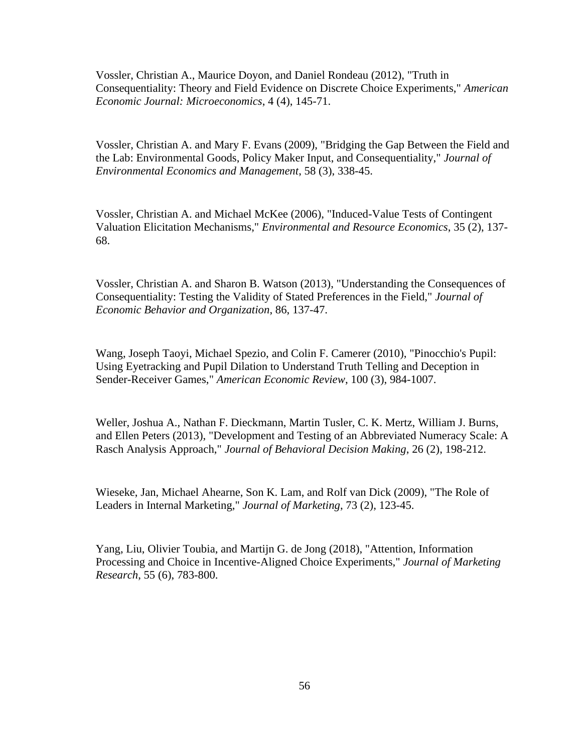Vossler, Christian A., Maurice Doyon, and Daniel Rondeau (2012), "Truth in Consequentiality: Theory and Field Evidence on Discrete Choice Experiments," *American Economic Journal: Microeconomics*, 4 (4), 145-71.

Vossler, Christian A. and Mary F. Evans (2009), "Bridging the Gap Between the Field and the Lab: Environmental Goods, Policy Maker Input, and Consequentiality," *Journal of Environmental Economics and Management*, 58 (3), 338-45.

Vossler, Christian A. and Michael McKee (2006), "Induced-Value Tests of Contingent Valuation Elicitation Mechanisms," *Environmental and Resource Economics*, 35 (2), 137- 68.

Vossler, Christian A. and Sharon B. Watson (2013), "Understanding the Consequences of Consequentiality: Testing the Validity of Stated Preferences in the Field," *Journal of Economic Behavior and Organization*, 86, 137-47.

Wang, Joseph Taoyi, Michael Spezio, and Colin F. Camerer (2010), "Pinocchio's Pupil: Using Eyetracking and Pupil Dilation to Understand Truth Telling and Deception in Sender-Receiver Games," *American Economic Review*, 100 (3), 984-1007.

Weller, Joshua A., Nathan F. Dieckmann, Martin Tusler, C. K. Mertz, William J. Burns, and Ellen Peters (2013), "Development and Testing of an Abbreviated Numeracy Scale: A Rasch Analysis Approach," *Journal of Behavioral Decision Making*, 26 (2), 198-212.

Wieseke, Jan, Michael Ahearne, Son K. Lam, and Rolf van Dick (2009), "The Role of Leaders in Internal Marketing," *Journal of Marketing*, 73 (2), 123-45.

Yang, Liu, Olivier Toubia, and Martijn G. de Jong (2018), "Attention, Information Processing and Choice in Incentive-Aligned Choice Experiments," *Journal of Marketing Research*, 55 (6), 783-800.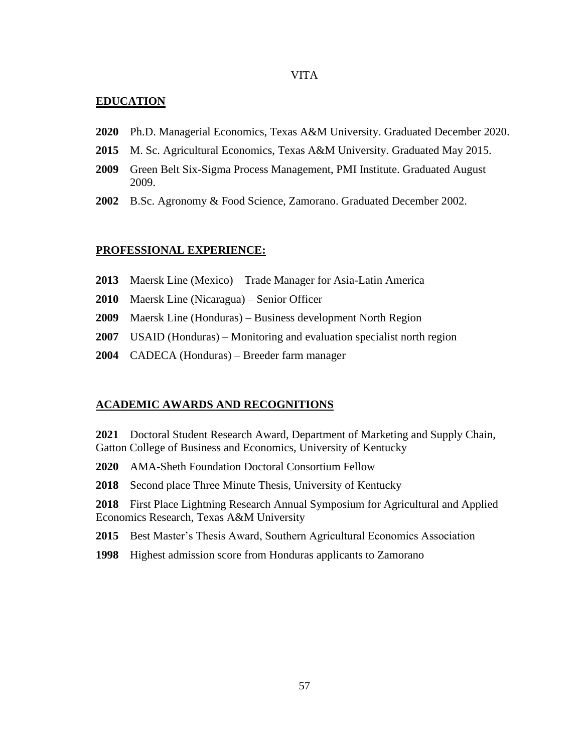### VITA

# **EDUCATION**

- Ph.D. Managerial Economics, Texas A&M University. Graduated December 2020.
- M. Sc. Agricultural Economics, Texas A&M University. Graduated May 2015.
- Green Belt Six-Sigma Process Management, PMI Institute. Graduated August 2009.
- B.Sc. Agronomy & Food Science, Zamorano. Graduated December 2002.

#### **PROFESSIONAL EXPERIENCE:**

- Maersk Line (Mexico) Trade Manager for Asia-Latin America
- Maersk Line (Nicaragua) Senior Officer
- Maersk Line (Honduras) Business development North Region
- USAID (Honduras) Monitoring and evaluation specialist north region
- CADECA (Honduras) Breeder farm manager

#### **ACADEMIC AWARDS AND RECOGNITIONS**

 Doctoral Student Research Award, Department of Marketing and Supply Chain, Gatton College of Business and Economics, University of Kentucky

- AMA-Sheth Foundation Doctoral Consortium Fellow
- Second place Three Minute Thesis, University of Kentucky

 First Place Lightning Research Annual Symposium for Agricultural and Applied Economics Research, Texas A&M University

- Best Master's Thesis Award, Southern Agricultural Economics Association
- Highest admission score from Honduras applicants to Zamorano